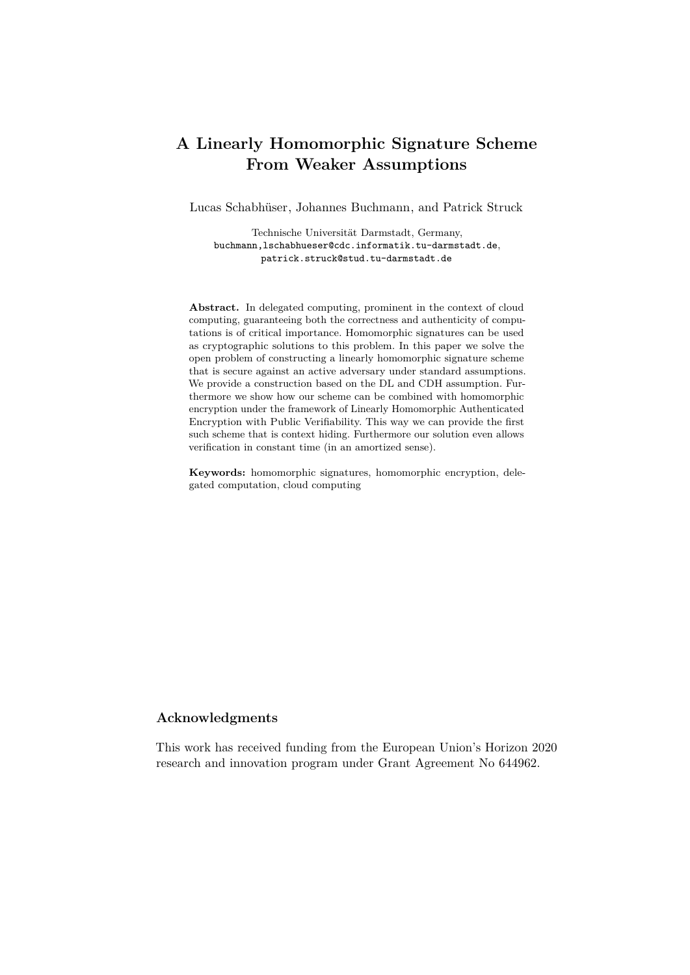# **A Linearly Homomorphic Signature Scheme From Weaker Assumptions**

Lucas Schabhüser, Johannes Buchmann, and Patrick Struck

Technische Universität Darmstadt, Germany, buchmann,lschabhueser@cdc.informatik.tu-darmstadt.de, patrick.struck@stud.tu-darmstadt.de

**Abstract.** In delegated computing, prominent in the context of cloud computing, guaranteeing both the correctness and authenticity of computations is of critical importance. Homomorphic signatures can be used as cryptographic solutions to this problem. In this paper we solve the open problem of constructing a linearly homomorphic signature scheme that is secure against an active adversary under standard assumptions. We provide a construction based on the DL and CDH assumption. Furthermore we show how our scheme can be combined with homomorphic encryption under the framework of Linearly Homomorphic Authenticated Encryption with Public Verifiability. This way we can provide the first such scheme that is context hiding. Furthermore our solution even allows verification in constant time (in an amortized sense).

**Keywords:** homomorphic signatures, homomorphic encryption, delegated computation, cloud computing

# **Acknowledgments**

This work has received funding from the European Union's Horizon 2020 research and innovation program under Grant Agreement No 644962.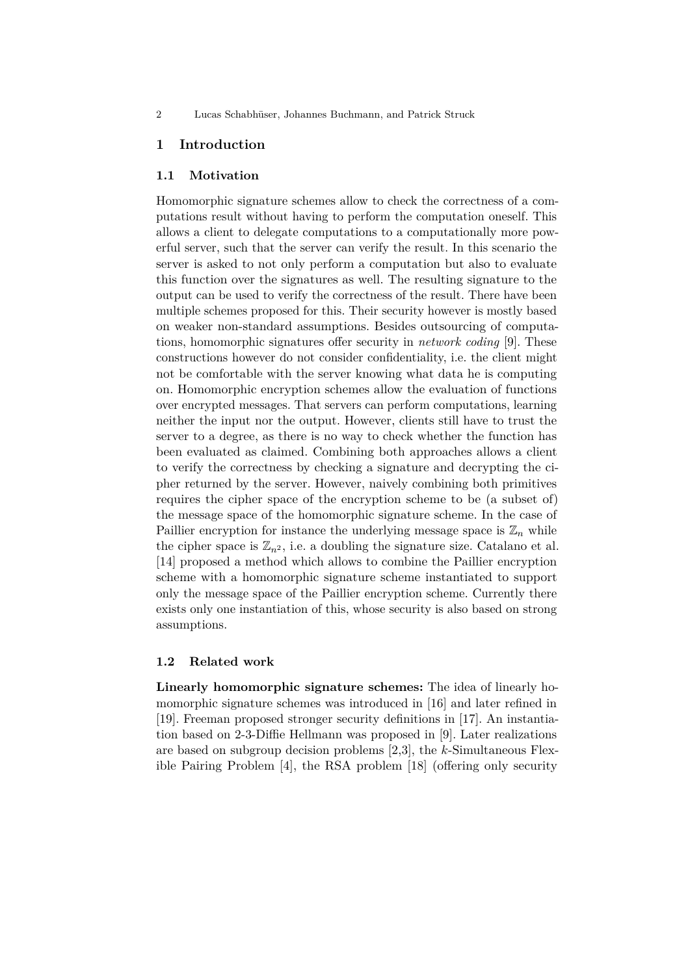## **1 Introduction**

#### **1.1 Motivation**

Homomorphic signature schemes allow to check the correctness of a computations result without having to perform the computation oneself. This allows a client to delegate computations to a computationally more powerful server, such that the server can verify the result. In this scenario the server is asked to not only perform a computation but also to evaluate this function over the signatures as well. The resulting signature to the output can be used to verify the correctness of the result. There have been multiple schemes proposed for this. Their security however is mostly based on weaker non-standard assumptions. Besides outsourcing of computations, homomorphic signatures offer security in *network coding* [9]. These constructions however do not consider confidentiality, i.e. the client might not be comfortable with the server knowing what data he is computing on. Homomorphic encryption schemes allow the evaluation of functions over encrypted messages. That servers can perform computations, learning neither the input nor the output. However, clients still have to trust the server to a degree, as there is no way to check whether the function has been evaluated as claimed. Combining both approaches allows a client to verify the correctness by checking a signature and decrypting the cipher returned by the server. However, naively combining both primitives requires the cipher space of the encryption scheme to be (a subset of) the message space of the homomorphic signature scheme. In the case of Paillier encryption for instance the underlying message space is  $\mathbb{Z}_n$  while the cipher space is  $\mathbb{Z}_{n^2}$ , i.e. a doubling the signature size. Catalano et al. [14] proposed a method which allows to combine the Paillier encryption scheme with a homomorphic signature scheme instantiated to support only the message space of the Paillier encryption scheme. Currently there exists only one instantiation of this, whose security is also based on strong assumptions.

#### **1.2 Related work**

**Linearly homomorphic signature schemes:** The idea of linearly homomorphic signature schemes was introduced in [16] and later refined in [19]. Freeman proposed stronger security definitions in [17]. An instantiation based on 2-3-Diffie Hellmann was proposed in [9]. Later realizations are based on subgroup decision problems [2,3], the *k*-Simultaneous Flexible Pairing Problem [4], the RSA problem [18] (offering only security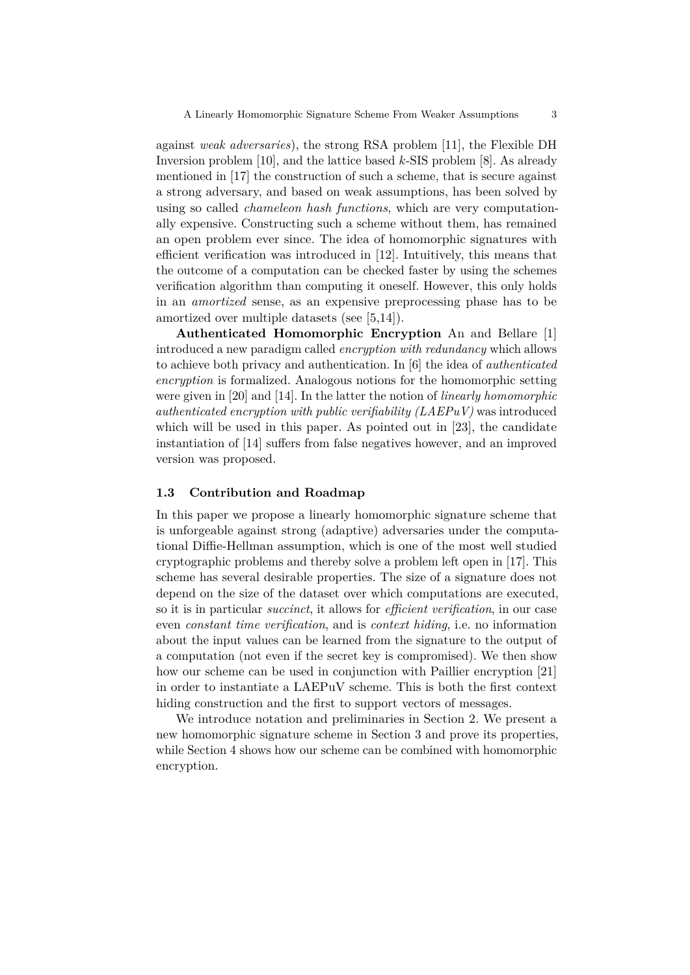against *weak adversaries*), the strong RSA problem [11], the Flexible DH Inversion problem [10], and the lattice based *k*-SIS problem [8]. As already mentioned in [17] the construction of such a scheme, that is secure against a strong adversary, and based on weak assumptions, has been solved by using so called *chameleon hash functions*, which are very computationally expensive. Constructing such a scheme without them, has remained an open problem ever since. The idea of homomorphic signatures with efficient verification was introduced in [12]. Intuitively, this means that the outcome of a computation can be checked faster by using the schemes verification algorithm than computing it oneself. However, this only holds in an *amortized* sense, as an expensive preprocessing phase has to be amortized over multiple datasets (see [5,14]).

**Authenticated Homomorphic Encryption** An and Bellare [1] introduced a new paradigm called *encryption with redundancy* which allows to achieve both privacy and authentication. In [6] the idea of *authenticated encryption* is formalized. Analogous notions for the homomorphic setting were given in [20] and [14]. In the latter the notion of *linearly homomorphic authenticated encryption with public verifiability (LAEPuV)* was introduced which will be used in this paper. As pointed out in [23], the candidate instantiation of [14] suffers from false negatives however, and an improved version was proposed.

#### **1.3 Contribution and Roadmap**

In this paper we propose a linearly homomorphic signature scheme that is unforgeable against strong (adaptive) adversaries under the computational Diffie-Hellman assumption, which is one of the most well studied cryptographic problems and thereby solve a problem left open in [17]. This scheme has several desirable properties. The size of a signature does not depend on the size of the dataset over which computations are executed, so it is in particular *succinct*, it allows for *efficient verification*, in our case even *constant time verification*, and is *context hiding*, i.e. no information about the input values can be learned from the signature to the output of a computation (not even if the secret key is compromised). We then show how our scheme can be used in conjunction with Paillier encryption [21] in order to instantiate a LAEPuV scheme. This is both the first context hiding construction and the first to support vectors of messages.

We introduce notation and preliminaries in Section 2. We present a new homomorphic signature scheme in Section 3 and prove its properties, while Section 4 shows how our scheme can be combined with homomorphic encryption.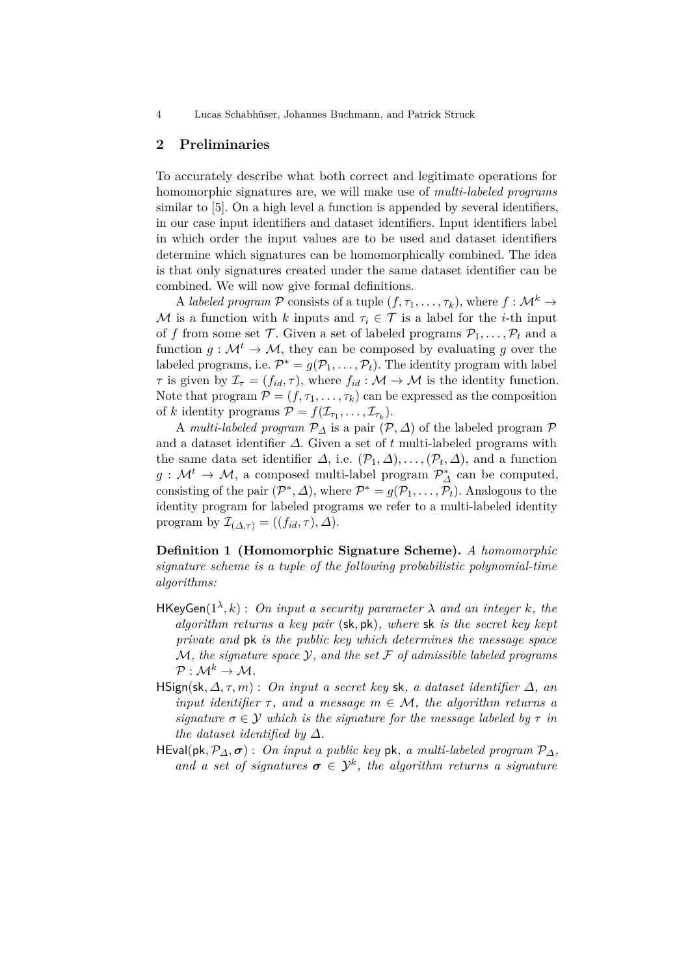## **2 Preliminaries**

To accurately describe what both correct and legitimate operations for homomorphic signatures are, we will make use of *multi-labeled programs* similar to [5]. On a high level a function is appended by several identifiers, in our case input identifiers and dataset identifiers. Input identifiers label in which order the input values are to be used and dataset identifiers determine which signatures can be homomorphically combined. The idea is that only signatures created under the same dataset identifier can be combined. We will now give formal definitions.

A *labeled program* P consists of a tuple  $(f, \tau_1, \ldots, \tau_k)$ , where  $f : \mathcal{M}^k \to$ M is a function with k inputs and  $\tau_i \in \mathcal{T}$  is a label for the *i*-th input of *f* from some set  $\mathcal{T}$ . Given a set of labeled programs  $\mathcal{P}_1, \ldots, \mathcal{P}_t$  and a function  $g: \mathcal{M}^t \to \mathcal{M}$ , they can be composed by evaluating g over the labeled programs, i.e.  $\mathcal{P}^* = g(\mathcal{P}_1, \ldots, \mathcal{P}_t)$ . The identity program with label *τ* is given by  $\mathcal{I}_{\tau} = (f_{id}, \tau)$ , where  $f_{id}: \mathcal{M} \to \mathcal{M}$  is the identity function. Note that program  $\mathcal{P} = (f, \tau_1, \dots, \tau_k)$  can be expressed as the composition of *k* identity programs  $\mathcal{P} = f(\mathcal{I}_{\tau_1}, \dots, \mathcal{I}_{\tau_k}).$ 

A *multi-labeled program*  $\mathcal{P}_{\Delta}$  is a pair  $(\mathcal{P}, \Delta)$  of the labeled program  $\mathcal P$ and a dataset identifier *∆*. Given a set of *t* multi-labeled programs with the same data set identifier  $\Delta$ , i.e.  $(\mathcal{P}_1, \Delta), \ldots, (\mathcal{P}_t, \Delta)$ , and a function  $g: \mathcal{M}^t \to \mathcal{M}$ , a composed multi-label program  $\mathcal{P}^*_{\Delta}$  can be computed, consisting of the pair  $(\mathcal{P}^*, \Delta)$ , where  $\mathcal{P}^* = g(\mathcal{P}_1, \ldots, \mathcal{P}_t)$ . Analogous to the identity program for labeled programs we refer to a multi-labeled identity program by  $\mathcal{I}_{(\Delta,\tau)} = ((f_{id}, \tau), \Delta)$ .

**Definition 1 (Homomorphic Signature Scheme).** *A homomorphic signature scheme is a tuple of the following probabilistic polynomial-time algorithms:*

- $H$ KeyGen( $1^{\lambda}, k$ ) : *On input a security parameter*  $\lambda$  *and an integer*  $k$ *, the algorithm returns a key pair* (sk*,* pk)*, where* sk *is the secret key kept private and* pk *is the public key which determines the message space* M*, the signature space* Y*, and the set* F *of admissible labeled programs*  $\mathcal{P}: \mathcal{M}^k \to \mathcal{M}.$
- HSign(sk*, ∆, τ, m*) : *On input a secret key* sk*, a dataset identifier ∆, an input identifier*  $\tau$ *, and a message*  $m \in \mathcal{M}$ *, the algorithm returns a signature*  $\sigma \in \mathcal{Y}$  *which is the signature for the message labeled by*  $\tau$  *in the dataset identified by ∆.*
- HEval(pk,  $\mathcal{P}_{\Delta}$ , $\sigma$ ) : *On input a public key* pk, a multi-labeled program  $\mathcal{P}_{\Delta}$ , *and a set of signatures*  $\sigma \in \mathcal{Y}^k$ , the algorithm returns a signature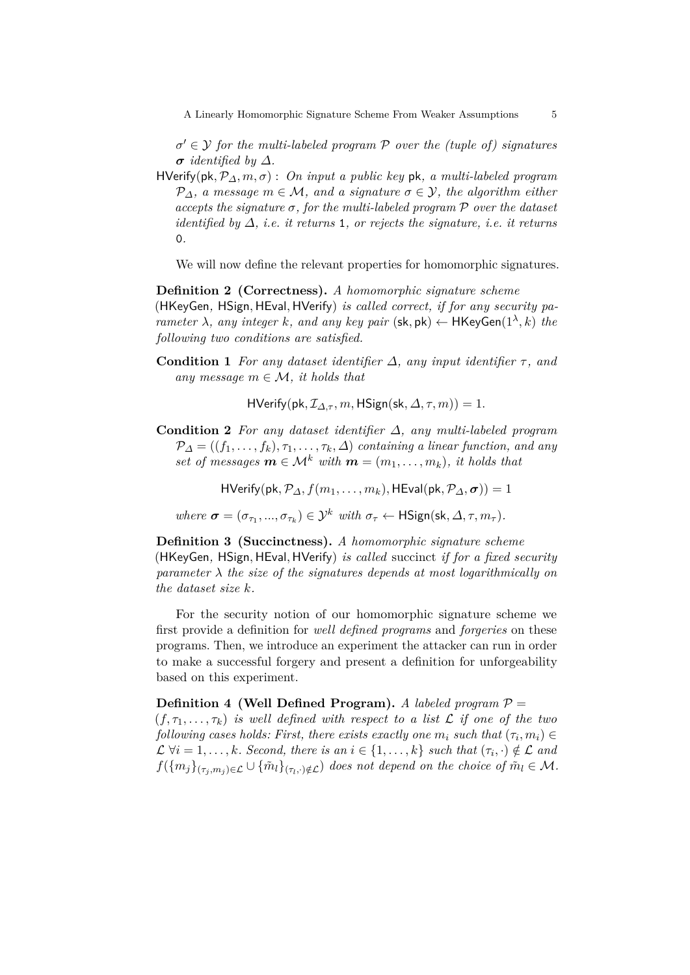$\sigma' \in \mathcal{Y}$  *for the multi-labeled program*  $\mathcal{P}$  *over the (tuple of) signatures σ identified by*  $Δ$ *.* 

HVerify(pk*,*P*∆, m, σ*) : *On input a public key* pk*, a multi-labeled program*  $P_Δ$ *, a message*  $m ∈ M$ *, and a signature*  $σ ∈ Y$ *, the algorithm either accepts the signature*  $\sigma$ *, for the multi-labeled program*  $P$  *over the dataset identified by ∆, i.e. it returns* 1*, or rejects the signature, i.e. it returns* 0*.*

We will now define the relevant properties for homomorphic signatures.

**Definition 2 (Correctness).** *A homomorphic signature scheme* (HKeyGen*,* HSign*,* HEval*,* HVerify) *is called correct, if for any security parameter*  $\lambda$ *, any integer*  $k$ *, and any key pair* (sk, pk)  $\leftarrow$  HKeyGen( $1^{\lambda}$ , k) the *following two conditions are satisfied.*

**Condition 1** *For any dataset identifier*  $\Delta$ *, any input identifier*  $\tau$ *, and any message*  $m \in \mathcal{M}$ *, it holds that* 

 $HVerify(pk, \mathcal{I}_{\Lambda, \tau}, m, \mathsf{HSign}(sk, \Delta, \tau, m)) = 1.$ 

**Condition 2** *For any dataset identifier ∆, any multi-labeled program*  $\mathcal{P}_{\Delta} = ((f_1, \ldots, f_k), \tau_1, \ldots, \tau_k, \Delta)$  *containing a linear function, and any set of messages*  $\mathbf{m} \in \mathcal{M}^k$  *with*  $\mathbf{m} = (m_1, \ldots, m_k)$ *, it holds that* 

 $HVerify(pk, P_A, f(m_1, \ldots, m_k), HEval(pk, P_A, \sigma)) = 1$ 

*where*  $\sigma = (\sigma_{\tau_1}, ..., \sigma_{\tau_k}) \in \mathcal{Y}^k$  *with*  $\sigma_{\tau} \leftarrow \textsf{HSign}(\textsf{sk}, \Delta, \tau, m_{\tau}).$ 

**Definition 3 (Succinctness).** *A homomorphic signature scheme* (HKeyGen*,* HSign*,* HEval*,* HVerify) *is called* succinct *if for a fixed security parameter*  $\lambda$  *the size of the signatures depends at most logarithmically on the dataset size k.*

For the security notion of our homomorphic signature scheme we first provide a definition for *well defined programs* and *forgeries* on these programs. Then, we introduce an experiment the attacker can run in order to make a successful forgery and present a definition for unforgeability based on this experiment.

#### **Definition 4 (Well Defined Program).** *A labeled program*  $P =$

 $(f, \tau_1, \ldots, \tau_k)$  *is well defined with respect to a list*  $\mathcal L$  *if one of the two following cases holds: First, there exists exactly one*  $m_i$  *such that*  $(\tau_i, m_i) \in$  $\mathcal{L} \ \forall i = 1, \ldots, k$ *. Second, there is an*  $i \in \{1, \ldots, k\}$  such that  $(\tau_i, \cdot) \notin \mathcal{L}$  and  $f(\{m_j\}_{(\tau_j,m_j)\in\mathcal{L}}\cup\{\tilde{m}_l\}_{(\tau_l,\cdot)\notin\mathcal{L}})$  does not depend on the choice of  $\tilde{m}_l\in\mathcal{M}$ .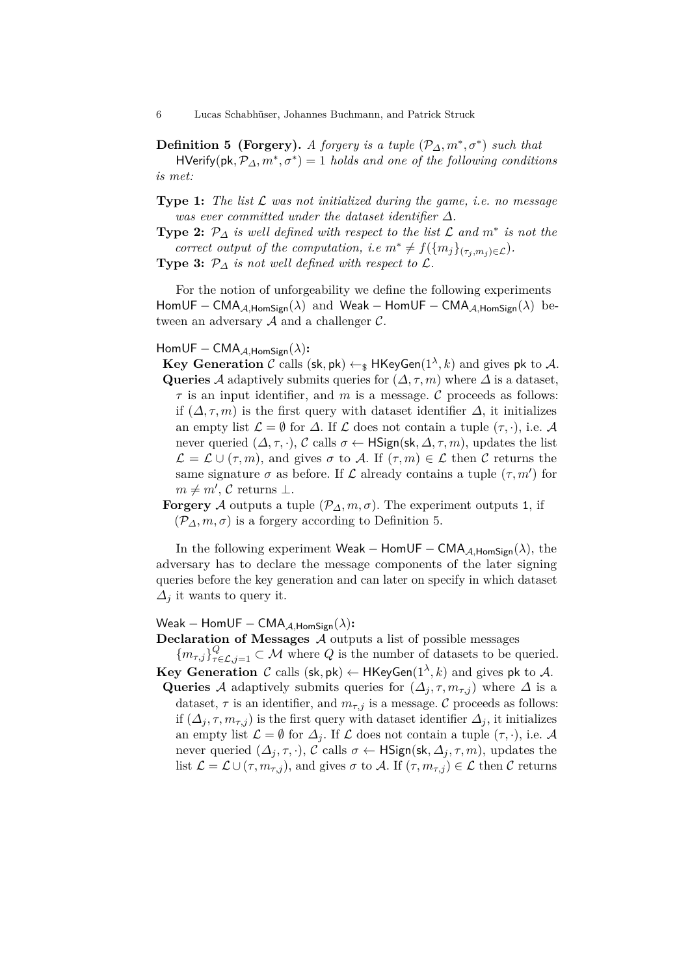**Definition 5** (Forgery). *A forgery is a tuple*  $(\mathcal{P}_{\Delta}, m^*, \sigma^*)$  *such that* HVerify(pk,  $\mathcal{P}_{\Delta}$ ,  $m^*$ ,  $\sigma^*$ ) = 1 *holds and one of the following conditions is met:*

**Type 1:** *The list* L *was not initialized during the game, i.e. no message was ever committed under the dataset identifier ∆.*

**Type 2:** P*<sup>∆</sup> is well defined with respect to the list* L *and m*<sup>∗</sup> *is not the correct output of the computation, i.e.*  $m^* \neq f(\lbrace m_j \rbrace_{(\tau_i,m_j) \in \mathcal{L}})$ .

**Type 3:**  $\mathcal{P}_{\Delta}$  *is not well defined with respect to*  $\mathcal{L}$ *.* 

For the notion of unforgeability we define the following experiments HomUF − CMAA*,*HomSign(*λ*) and Weak − HomUF − CMAA*,*HomSign(*λ*) between an adversary  $A$  and a challenger  $C$ .

# $HomUF - CMA_{A,HomSign}(\lambda)$ :

**Key Generation**  $\mathcal C$  calls  $(\mathsf{sk}, \mathsf{pk}) \leftarrow_{\$} \mathsf{HKeyGen}(1^\lambda, k)$  and gives  $\mathsf{pk}$  to  $\mathcal A$ . **Queries** A adaptively submits queries for  $(\Delta, \tau, m)$  where  $\Delta$  is a dataset,  $\tau$  is an input identifier, and *m* is a message. C proceeds as follows: if  $(\Delta, \tau, m)$  is the first query with dataset identifier  $\Delta$ , it initializes an empty list  $\mathcal{L} = \emptyset$  for  $\Delta$ . If  $\mathcal L$  does not contain a tuple  $(\tau, \cdot)$ , i.e.  $\mathcal A$ never queried  $(\Delta, \tau, \cdot), C$  calls  $\sigma \leftarrow \text{HSign}(\text{sk}, \Delta, \tau, m),$  updates the list  $\mathcal{L} = \mathcal{L} \cup (\tau, m)$ , and gives  $\sigma$  to  $\mathcal{A}$ . If  $(\tau, m) \in \mathcal{L}$  then  $\mathcal{C}$  returns the same signature  $\sigma$  as before. If  $\mathcal L$  already contains a tuple  $(\tau, m')$  for

 $m \neq m', \mathcal{C}$  returns ⊥.

**Forgery** A outputs a tuple  $(\mathcal{P}_{\Delta}, m, \sigma)$ . The experiment outputs 1, if  $(\mathcal{P}_{\Delta}, m, \sigma)$  is a forgery according to Definition 5.

In the following experiment Weak – HomUF – CMA<sub>A,HomSign</sub>( $\lambda$ ), the adversary has to declare the message components of the later signing queries before the key generation and can later on specify in which dataset  $\Delta_i$  it wants to query it.

Weak − HomUF − CMAA*,*HomSign(*λ*)**:**

**Declaration of Messages** A outputs a list of possible messages

 ${m_{\tau,j}}_{\tau \in \mathcal{L},j=1}^Q \subset \mathcal{M}$  where *Q* is the number of datasets to be queried. **Key Generation** C calls  $(\mathsf{sk}, \mathsf{pk}) \leftarrow \mathsf{HKeyGen}(1^\lambda, k)$  and gives  $\mathsf{pk}$  to A.

Queries A adaptively submits queries for  $(\Delta_i, \tau, m_{\tau,i})$  where  $\Delta$  is a dataset,  $\tau$  is an identifier, and  $m_{\tau, j}$  is a message. C proceeds as follows: if  $(\Delta_i, \tau, m_{\tau,i})$  is the first query with dataset identifier  $\Delta_i$ , it initializes an empty list  $\mathcal{L} = \emptyset$  for  $\Delta_j$ . If  $\mathcal L$  does not contain a tuple  $(\tau, \cdot)$ , i.e.  $\mathcal A$ never queried  $(\Delta_j, \tau, \cdot)$ , C calls  $\sigma \leftarrow \text{HSign}(\text{sk}, \Delta_j, \tau, m)$ , updates the list  $\mathcal{L} = \mathcal{L} \cup (\tau, m_{\tau, j})$ , and gives  $\sigma$  to A. If  $(\tau, m_{\tau, j}) \in \mathcal{L}$  then  $\mathcal{C}$  returns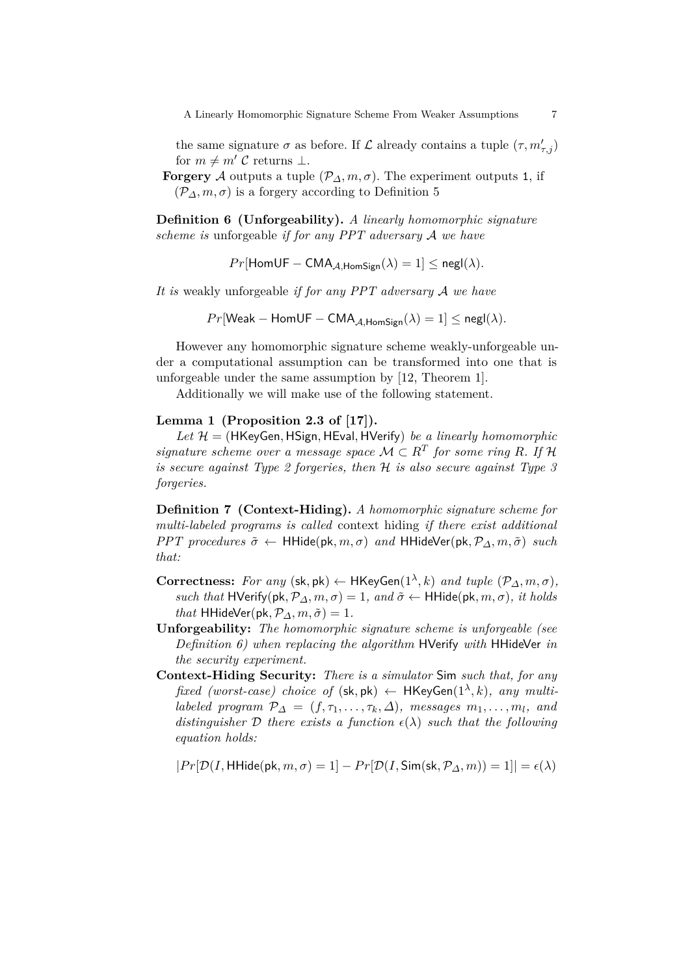A Linearly Homomorphic Signature Scheme From Weaker Assumptions 7

the same signature  $\sigma$  as before. If  $\mathcal L$  already contains a tuple  $(\tau, m'_{\tau,j})$ for  $m \neq m'$   $\mathcal C$  returns  $\perp$ .

**Forgery** A outputs a tuple  $(\mathcal{P}_{\Delta}, m, \sigma)$ . The experiment outputs 1, if  $(\mathcal{P}_\Delta, m, \sigma)$  is a forgery according to Definition 5

**Definition 6 (Unforgeability).** *A linearly homomorphic signature scheme is* unforgeable *if for any PPT adversary* A *we have*

 $Pr[\text{HomUF} - \text{CMA}_{A\text{ HomSign}}(\lambda) = 1]$  < negl( $\lambda$ )*.* 

*It is* weakly unforgeable *if for any PPT adversary* A *we have*

 $Pr[\text{Weak} - \text{HomUF} - \text{CMA}_{A, \text{HomSign}}(\lambda) = 1] \leq \text{negl}(\lambda)$ .

However any homomorphic signature scheme weakly-unforgeable under a computational assumption can be transformed into one that is unforgeable under the same assumption by [12, Theorem 1].

Additionally we will make use of the following statement.

## **Lemma 1 (Proposition 2.3 of [17]).**

 $Let H = (HKeyGen, HSign, HEval, HVerify)$  *be a linearly homomorphic signature scheme over a message space*  $\mathcal{M} \subset R^T$  *for some ring*  $R$ *. If*  $\mathcal{H}$ *is secure against Type 2 forgeries, then* H *is also secure against Type 3 forgeries.*

**Definition 7 (Context-Hiding).** *A homomorphic signature scheme for multi-labeled programs is called* context hiding *if there exist additional PPT* procedures  $\tilde{\sigma} \leftarrow \text{HHide}(\text{pk}, m, \sigma)$  and  $\text{HHideVer}(\text{pk}, \mathcal{P}_{\Lambda}, m, \tilde{\sigma})$  *such that:*

- $\textbf{Correctness:} \ \textit{For any} \ (\textsf{sk}, \textsf{pk}) \leftarrow \textsf{HKeyGen}(1^\lambda, k) \ \textit{and tuple} \ (\mathcal{P}_\Delta, m, \sigma),$ *such that*  $HVerify(\mathsf{pk}, \mathcal{P}_{\Delta}, m, \sigma) = 1$ *, and*  $\tilde{\sigma} \leftarrow HHide(\mathsf{pk}, m, \sigma)$ *, it holds that* HHideVer(pk,  $\mathcal{P}_{\Delta}$ *, m,*  $\tilde{\sigma}$ *)* = 1*.*
- **Unforgeability:** *The homomorphic signature scheme is unforgeable (see Definition 6) when replacing the algorithm* HVerify *with* HHideVer *in the security experiment.*
- **Context-Hiding Security:** *There is a simulator* Sim *such that, for any*  $\emph{fixed (worst-case) choice of (\mathsf{sk}, \mathsf{pk}) \leftarrow \mathsf{HKeyGen}(1^\lambda, k), \emph{any multi-}$ *labeled program*  $\mathcal{P}_{\Delta} = (f, \tau_1, \ldots, \tau_k, \Delta)$ , messages  $m_1, \ldots, m_l$ , and *distinguisher*  $D$  *there exists a function*  $\epsilon(\lambda)$  *such that the following equation holds:*

 $|Pr[\mathcal{D}(I, \text{HHide}(\text{pk}, m, \sigma) = 1] - Pr[\mathcal{D}(I, \text{Sim}(\text{sk}, \mathcal{P}_{\Delta}, m)) = 1]| = \epsilon(\lambda)$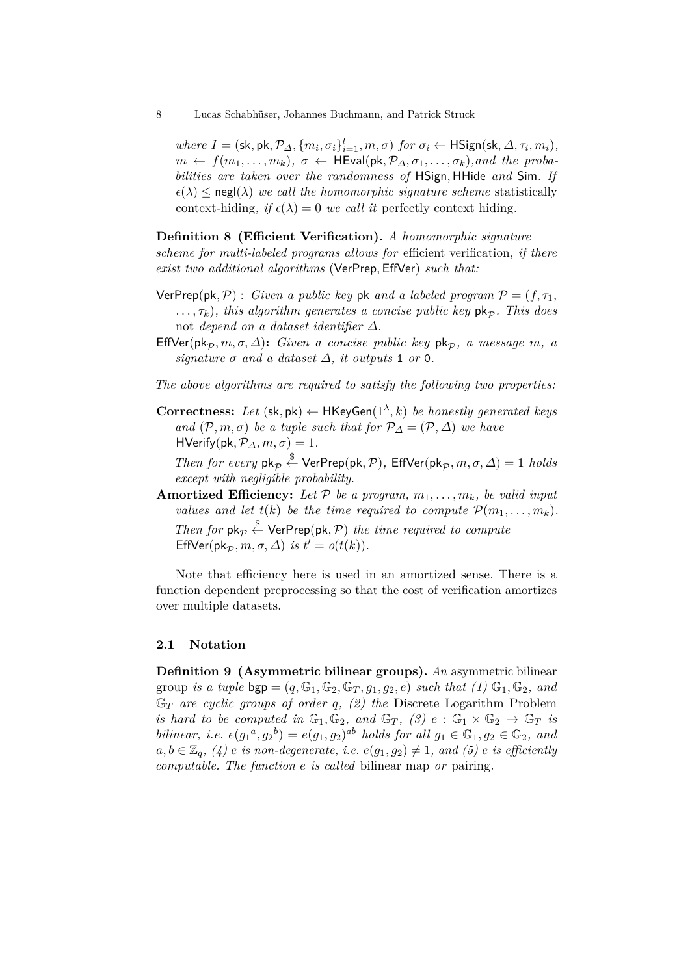*where*  $I = (\mathsf{sk}, \mathsf{pk}, \mathcal{P}_{\Delta}, \{m_i, \sigma_i\}_{i=1}^l, m, \sigma)$  *for*  $\sigma_i \leftarrow \mathsf{HSign}(\mathsf{sk}, \Delta, \tau_i, m_i)$ *,*  $m \leftarrow f(m_1, \ldots, m_k), \sigma \leftarrow \text{HEval}(\text{pk}, \mathcal{P}_\Delta, \sigma_1, \ldots, \sigma_k)$ *,and the probabilities are taken over the randomness of* HSign*,* HHide *and* Sim*. If*  $\epsilon(\lambda) \leq$  negl( $\lambda$ ) *we call the homomorphic signature scheme* statistically context-hiding, if  $\epsilon(\lambda) = 0$  *we call it* perfectly context hiding.

**Definition 8 (Efficient Verification).** *A homomorphic signature scheme for multi-labeled programs allows for* efficient verification*, if there exist two additional algorithms* (VerPrep*,* EffVer) *such that:*

- $VerPrep(\mathsf{pk}, \mathcal{P})$ : *Given a public key*  $\mathsf{pk}$  *and a labeled program*  $\mathcal{P} = (f, \tau_1, \tau_2)$  $\dots, \tau_k$ ), this algorithm generates a concise public key  $pk_{\mathcal{D}}$ . This does not *depend on a dataset identifier ∆.*
- $EffVer(\mathsf{pk}_{\mathcal{P}}, m, \sigma, \Delta)$ : *Given a concise public key*  $\mathsf{pk}_{\mathcal{P}}$ *, a message m, a signature*  $\sigma$  *and a dataset*  $\Delta$ *, it outputs* 1 *or* 0*.*
- *The above algorithms are required to satisfy the following two properties:*
- **Correctness:** Let  $(\mathsf{sk}, \mathsf{pk}) \leftarrow \mathsf{HKeyGen}(1^\lambda, k)$  be honestly generated keys *and*  $(\mathcal{P}, m, \sigma)$  *be a tuple such that for*  $\mathcal{P}_{\Delta} = (\mathcal{P}, \Delta)$  *we have*  $HVerify(pk, P<sub>A</sub>, m, \sigma) = 1.$

*Then for every*  $pk_{\mathcal{P}} \overset{\$}{\leftarrow}$  VerPrep( $pk, \mathcal{P}$ ), EffVer( $pk_{\mathcal{P}}$ ,  $m, \sigma, \Delta$ ) = 1 *holds except with negligible probability.*

**Amortized Efficiency:** Let  $P$  be a program,  $m_1, \ldots, m_k$ , be valid input *values and let*  $t(k)$  *be the time required to compute*  $\mathcal{P}(m_1, \ldots, m_k)$ *. Then for*  $pk_{\mathcal{P}} \overset{\$}{\leftarrow}$  VerPrep( $pk, \mathcal{P}$ ) *the time required to compute* EffVer( $pk_{\mathcal{P}}$ ,  $m$ ,  $\sigma$ ,  $\Delta$ ) *is*  $t' = o(t(k))$ *.* 

Note that efficiency here is used in an amortized sense. There is a function dependent preprocessing so that the cost of verification amortizes over multiple datasets.

### **2.1 Notation**

**Definition 9 (Asymmetric bilinear groups).** *An* asymmetric bilinear group *is a tuple*  $\mathsf{bgp} = (q, \mathbb{G}_1, \mathbb{G}_2, \mathbb{G}_T, g_1, g_2, e)$  *such that* (1)  $\mathbb{G}_1, \mathbb{G}_2$ *, and*  $\mathbb{G}_T$  *are cyclic groups of order q, (2) the* Discrete Logarithm Problem *is hard to be computed in*  $\mathbb{G}_1, \mathbb{G}_2$ *, and*  $\mathbb{G}_T$ *,* (3)  $e : \mathbb{G}_1 \times \mathbb{G}_2 \to \mathbb{G}_T$  *is bilinear, i.e.*  $e(g_1^a, g_2^b) = e(g_1, g_2)^{ab}$  *holds for all*  $g_1 \in \mathbb{G}_1, g_2 \in \mathbb{G}_2$ *, and*  $a, b \in \mathbb{Z}_q$ , (4) *e is non-degenerate, i.e.*  $e(g_1, g_2) \neq 1$ *, and (5) <i>e is efficiently computable. The function e is called* bilinear map *or* pairing*.*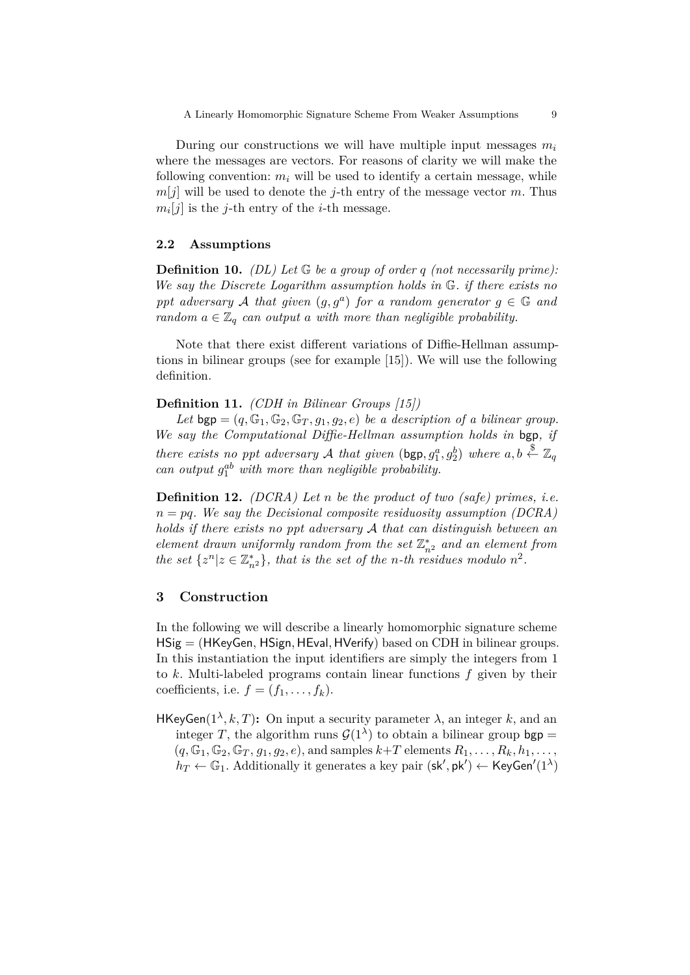During our constructions we will have multiple input messages *m<sup>i</sup>* where the messages are vectors. For reasons of clarity we will make the following convention:  $m_i$  will be used to identify a certain message, while  $m[j]$  will be used to denote the *j*-th entry of the message vector *m*. Thus  $m_i[j]$  is the *j*-th entry of the *i*-th message.

#### **2.2 Assumptions**

**Definition 10.** *(DL) Let* G *be a group of order q (not necessarily prime): We say the Discrete Logarithm assumption holds in* G*. if there exists no ppt adversary* A *that given*  $(g, g^a)$  *for a random generator*  $g \in \mathbb{G}$  *and random*  $a \in \mathbb{Z}_q$  *can output a with more than negligible probability.* 

Note that there exist different variations of Diffie-Hellman assumptions in bilinear groups (see for example [15]). We will use the following definition.

**Definition 11.** *(CDH in Bilinear Groups [15])*

Let  $\mathsf{bgp} = (q, \mathbb{G}_1, \mathbb{G}_2, \mathbb{G}_T, g_1, g_2, e)$  *be a description of a bilinear group. We say the Computational Diffie-Hellman assumption holds in* bgp*, if there exists no ppt adversary* A *that given* (bgp,  $g_1^a, g_2^b$ ) where  $a, b \stackrel{\$}{\leftarrow} \mathbb{Z}_q$ *can output*  $g_1^{ab}$  *with more than negligible probability.* 

**Definition 12.** *(DCRA) Let n be the product of two (safe) primes, i.e. n* = *pq. We say the Decisional composite residuosity assumption (DCRA) holds if there exists no ppt adversary* A *that can distinguish between an element drawn uniformly random from the set*  $\mathbb{Z}_{n^2}^*$  *and an element from the set*  $\{z^n | z \in \mathbb{Z}_{n^2}^*\}$ , that is the set of the *n*-th residues modulo  $n^2$ .

# **3 Construction**

In the following we will describe a linearly homomorphic signature scheme HSig = (HKeyGen*,* HSign*,* HEval*,* HVerify) based on CDH in bilinear groups. In this instantiation the input identifiers are simply the integers from 1 to *k*. Multi-labeled programs contain linear functions *f* given by their coefficients, i.e.  $f = (f_1, \ldots, f_k)$ .

HKeyGen( $1^{\lambda}$ , k, T): On input a security parameter  $\lambda$ , an integer k, and an integer *T*, the algorithm runs  $\mathcal{G}(1^{\lambda})$  to obtain a bilinear group bgp =  $(q, \mathbb{G}_1, \mathbb{G}_2, \mathbb{G}_T, g_1, g_2, e)$ , and samples  $k+T$  elements  $R_1, \ldots, R_k, h_1, \ldots$ ,  $h_T \leftarrow \mathbb{G}_1$ . Additionally it generates a key pair  $(\mathsf{sk}', \mathsf{pk}') \leftarrow \mathsf{KeyGen}'(1^\lambda)$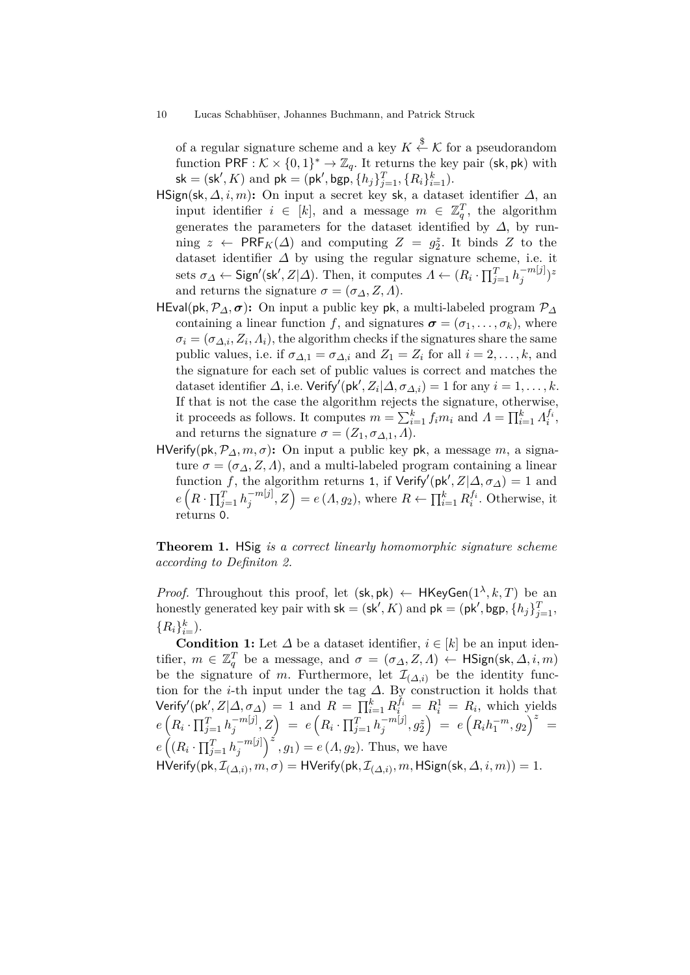of a regular signature scheme and a key  $K \stackrel{\$}{\leftarrow} \mathcal{K}$  for a pseudorandom function PRF :  $K \times \{0,1\}^* \to \mathbb{Z}_q$ . It returns the key pair (sk, pk) with  $\mathsf{sk} = (\mathsf{sk}', K) \text{ and } \mathsf{pk} = (\mathsf{pk}', \mathsf{bgp}, \{h_j\}_{j=1}^T, \{R_i\}_{i=1}^k).$ 

- HSign(sk*, ∆, i, m*)**:** On input a secret key sk, a dataset identifier *∆*, an input identifier  $i \in [k]$ , and a message  $m \in \mathbb{Z}_q^T$ , the algorithm generates the parameters for the dataset identified by  $\Delta$ , by running  $z \leftarrow \text{PRF}_K(\Delta)$  and computing  $Z = g_2^z$ . It binds Z to the dataset identifier *∆* by using the regular signature scheme, i.e. it sets  $\sigma_A \leftarrow$  Sign'(sk', Z| $\Delta$ ). Then, it computes  $\Lambda \leftarrow (R_i \cdot \prod_{j=1}^T h_j^{-m[j]}$  $\binom{-m|j|}{j}$ <sup>2</sup> and returns the signature  $\sigma = (\sigma_{\Delta}, Z, \Lambda)$ .
- HEval(pk,  $\mathcal{P}_{\Delta}$ , $\sigma$ ): On input a public key pk, a multi-labeled program  $\mathcal{P}_{\Delta}$ containing a linear function *f*, and signatures  $\boldsymbol{\sigma} = (\sigma_1, \ldots, \sigma_k)$ , where  $\sigma_i = (\sigma_{\Delta,i}, Z_i, \Lambda_i)$ , the algorithm checks if the signatures share the same public values, i.e. if  $\sigma_{\Delta,1} = \sigma_{\Delta,i}$  and  $Z_1 = Z_i$  for all  $i = 2, \ldots, k$ , and the signature for each set of public values is correct and matches the dataset identifier  $\Delta$ , i.e.  $Verify'(pk', Z_i | \Delta, \sigma_{\Delta, i}) = 1$  for any  $i = 1, \ldots, k$ . If that is not the case the algorithm rejects the signature, otherwise, it proceeds as follows. It computes  $m = \sum_{i=1}^{k} f_i m_i$  and  $A = \prod_{i=1}^{k} A_i^{f_i}$ , and returns the signature  $\sigma = (Z_1, \sigma_{\Delta,1}, \Lambda)$ .
- HVerify(pk,  $\mathcal{P}_{\Delta}$ ,  $m, \sigma$ ): On input a public key pk, a message  $m$ , a signature  $\sigma = (\sigma_{\Delta}, Z, \Lambda)$ , and a multi-labeled program containing a linear function *f*, the algorithm returns 1, if  $Verify'(pk', Z|\Delta, \sigma_{\Delta}) = 1$  and  $e\left(R \cdot \prod_{j=1}^{T} h_j^{-m[j]}\right)$  $\binom{-m[j]}{j}$ ,  $Z$  =  $e(A, g_2)$ , where  $R \leftarrow \prod_{i=1}^{k} R_i^{f_i}$ . Otherwise, it returns 0.

**Theorem 1.** HSig *is a correct linearly homomorphic signature scheme according to Definiton 2.*

*Proof.* Throughout this proof, let  $(\mathsf{sk}, \mathsf{pk}) \leftarrow \mathsf{HKeyGen}(1^\lambda, k, T)$  be an honestly generated key pair with  $sk = (sk', K)$  and  $pk = (pk', bgp, \{h_j\}_{j=1}^T$ ,  $\{R_i\}_{i=1}^k$ .

**Condition 1:** Let  $\Delta$  be a dataset identifier,  $i \in [k]$  be an input identifier,  $m \in \mathbb{Z}_q^T$  be a message, and  $\sigma = (\sigma_{\Delta}, Z, \Lambda) \leftarrow \mathsf{HSign}(\mathsf{sk}, \Delta, i, m)$ be the signature of *m*. Furthermore, let  $\mathcal{I}_{(\Delta,i)}$  be the identity function for the *i*-th input under the tag *∆*. By construction it holds that  $\text{Verify}'(\text{pk}', Z | \Delta, \sigma_{\Delta}) = 1 \text{ and } R = \prod_{i=1}^{k} R_i^{f_i} = R_i^1 = R_i, \text{ which yields}$  $e\left(R_i\cdot \prod_{j=1}^T h_j^{-m[j]}\right)$  $\left[ e^{ -m[j] } , Z \right] \,\, = \,\, e\left( R_i \cdot \textstyle\prod_{j=1}^{T} h_j^{-m[j]} \right)$  $\left( \begin{array}{c} -m[j], g_2^z \end{array} \right)^{\rm '}= \; e\left(R_ih_1^{-m}, g_2\right)^z \;=\;$  $e\left((R_i\cdot \prod_{j=1}^T h_j^{-m[j]}\right)$  $\left(\frac{1}{j}m[j]\right)^{z}, g_{1}$  = *e* (*Λ, g*<sub>2</sub>). Thus, we have  $\mathsf{HVerify}(\mathsf{pk},\mathcal{I}_{(\varDelta,i)},m,\sigma) = \mathsf{HVerify}(\mathsf{pk},\mathcal{I}_{(\varDelta,i)},m,\mathsf{HSign}(\mathsf{sk},\varDelta,i,m)) = 1.$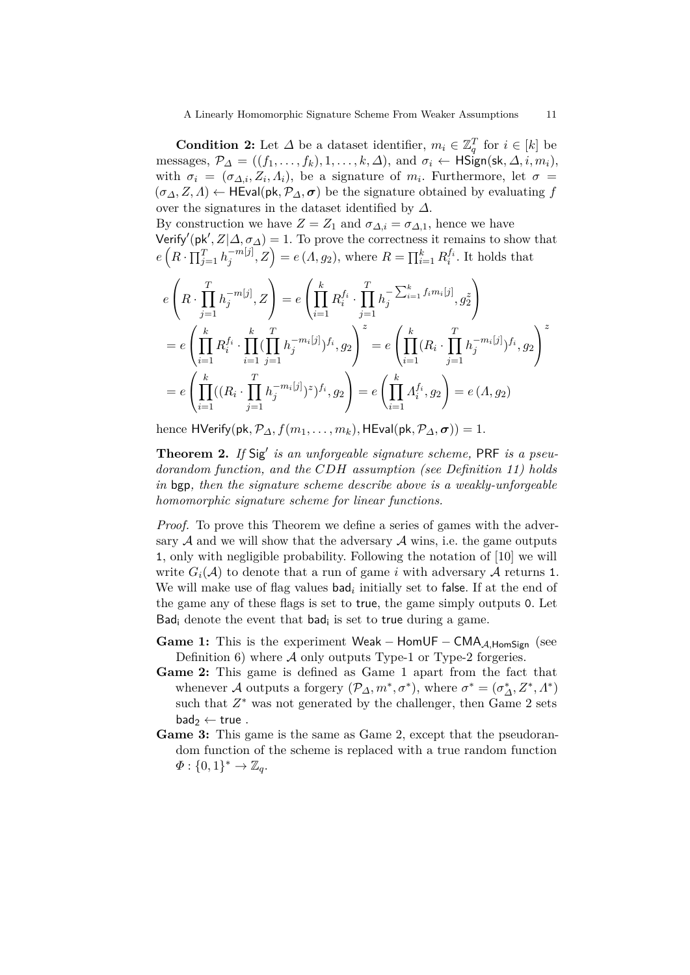**Condition 2:** Let  $\Delta$  be a dataset identifier,  $m_i \in \mathbb{Z}_q^T$  for  $i \in [k]$  be messages,  $\mathcal{P}_{\Delta} = ((f_1, \ldots, f_k), 1, \ldots, k, \Delta)$ , and  $\sigma_i \leftarrow \text{HSign}(\text{sk}, \Delta, i, m_i)$ , with  $\sigma_i = (\sigma_{\Delta,i}, Z_i, \Lambda_i)$ , be a signature of  $m_i$ . Furthermore, let  $\sigma =$  $(\sigma_{\Delta}, Z, \Lambda) \leftarrow$  HEval(pk,  $\mathcal{P}_{\Delta}, \sigma$ ) be the signature obtained by evaluating *f* over the signatures in the dataset identified by *∆*.

By construction we have  $Z = Z_1$  and  $\sigma_{\Delta,i} = \sigma_{\Delta,1}$ , hence we have Verify'( $pk'$ ,  $Z|\Delta, \sigma_{\Delta}$ ) = 1. To prove the correctness it remains to show that  $e\left(R\cdot \prod_{j=1}^T h_j^{-m[j]}\right)$  $\binom{-m[j]}{j}, Z$  = *e* (*Λ, g*<sub>2</sub>), where *R* =  $\prod_{i=1}^{k} R_i^{f_i}$ . It holds that

$$
e\left(R \cdot \prod_{j=1}^{T} h_j^{-m[j]}, Z\right) = e\left(\prod_{i=1}^{k} R_i^{f_i} \cdot \prod_{j=1}^{T} h_j^{-\sum_{i=1}^{k} f_i m_i[j]}, g_2^z\right)
$$
  
\n
$$
= e\left(\prod_{i=1}^{k} R_i^{f_i} \cdot \prod_{i=1}^{k} (\prod_{j=1}^{T} h_j^{-m_i[j]})^{f_i}, g_2\right)^z = e\left(\prod_{i=1}^{k} (R_i \cdot \prod_{j=1}^{T} h_j^{-m_i[j]})^{f_i}, g_2\right)^z
$$
  
\n
$$
= e\left(\prod_{i=1}^{k} ((R_i \cdot \prod_{j=1}^{T} h_j^{-m_i[j]})^z)^{f_i}, g_2\right) = e\left(\prod_{i=1}^{k} A_i^{f_i}, g_2\right) = e(A, g_2)
$$

hence HVerify(pk,  $\mathcal{P}_{\Delta}$ ,  $f(m_1, \ldots, m_k)$ , HEval(pk,  $\mathcal{P}_{\Delta}$ ,  $\sigma$ )) = 1.

**Theorem 2.** If Sig' is an unforgeable signature scheme, PRF is a pseu*dorandom function, and the CDH assumption (see Definition 11) holds in* bgp*, then the signature scheme describe above is a weakly-unforgeable homomorphic signature scheme for linear functions.*

*Proof.* To prove this Theorem we define a series of games with the adversary  $A$  and we will show that the adversary  $A$  wins, i.e. the game outputs 1, only with negligible probability. Following the notation of [10] we will write  $G_i(\mathcal{A})$  to denote that a run of game *i* with adversary  $\mathcal{A}$  returns 1. We will make use of flag values  $\mathsf{bad}_i$  initially set to false. If at the end of the game any of these flags is set to true, the game simply outputs 0. Let  $Bad<sub>i</sub>$  denote the event that  $bad<sub>i</sub>$  is set to true during a game.

- **Game 1:** This is the experiment Weak HomUF CMA<sub>A,HomSign</sub> (see Definition 6) where  $A$  only outputs Type-1 or Type-2 forgeries.
- **Game 2:** This game is defined as Game 1 apart from the fact that whenever A outputs a forgery  $(\mathcal{P}_{\Delta}, m^*, \sigma^*)$ , where  $\sigma^* = (\sigma^*_{\Delta}, Z^*, \Lambda^*)$ such that  $Z^*$  was not generated by the challenger, then Game  $2$  sets  $bad_2 \leftarrow true$ .
- **Game 3:** This game is the same as Game 2, except that the pseudorandom function of the scheme is replaced with a true random function  $\Phi: \{0,1\}^* \to \mathbb{Z}_q.$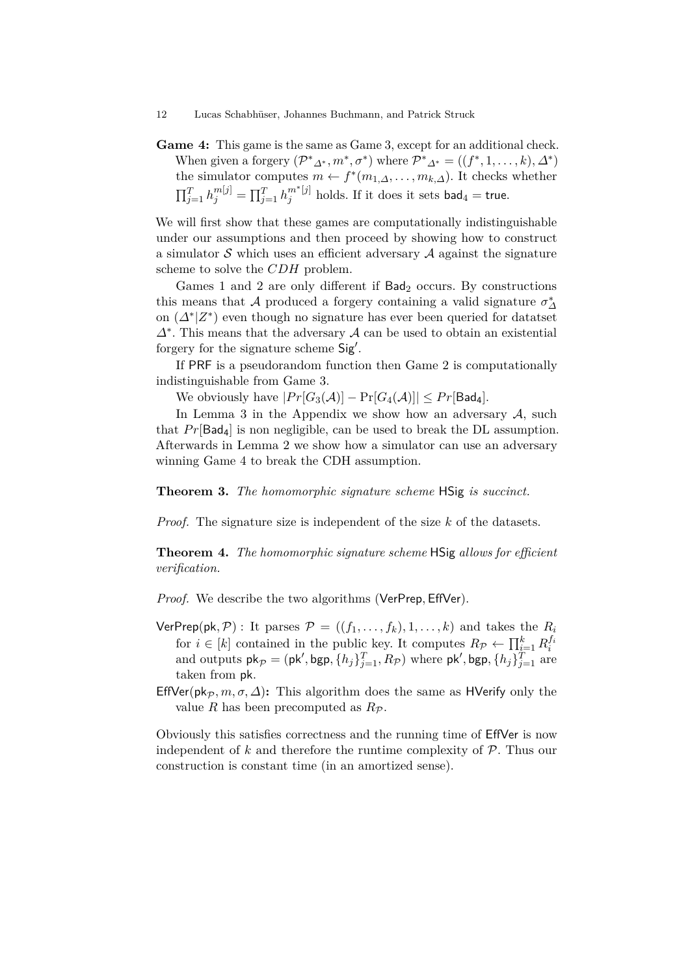Game 4: This game is the same as Game 3, except for an additional check. When given a forgery  $(\mathcal{P}^*_{\Delta^*}, m^*, \sigma^*)$  where  $\mathcal{P}^*_{\Delta^*} = ((f^*, 1, \ldots, k), \Delta^*)$ the simulator computes  $m \leftarrow f^*(m_{1,\Delta}, \ldots, m_{k,\Delta})$ . It checks whether  $\prod_{j=1}^{T} h_j^{m[j]} = \prod_{j=1}^{T} h_j^{m^*[j]}$  $j^{m}$   $j^{m}$  holds. If it does it sets bad $4 =$  true.

We will first show that these games are computationally indistinguishable under our assumptions and then proceed by showing how to construct a simulator S which uses an efficient adversary  $A$  against the signature scheme to solve the *CDH* problem.

Games 1 and 2 are only different if  $Bad<sub>2</sub>$  occurs. By constructions this means that  ${\mathcal A}$  produced a forgery containing a valid signature  $\sigma^*_{\mathcal A}$ on (*∆*<sup>∗</sup> |*Z* ∗ ) even though no signature has ever been queried for datatset  $Δ<sup>*</sup>$ . This means that the adversary *A* can be used to obtain an existential forgery for the signature scheme Sig'.

If PRF is a pseudorandom function then Game 2 is computationally indistinguishable from Game 3.

We obviously have  $|Pr[G_3(\mathcal{A})] - Pr[G_4(\mathcal{A})]| \leq Pr[\mathsf{Bad}_4].$ 

In Lemma 3 in the Appendix we show how an adversary  $A$ , such that  $Pr[Bad_4]$  is non negligible, can be used to break the DL assumption. Afterwards in Lemma 2 we show how a simulator can use an adversary winning Game 4 to break the CDH assumption.

**Theorem 3.** *The homomorphic signature scheme* HSig *is succinct.*

*Proof.* The signature size is independent of the size k of the datasets.

**Theorem 4.** *The homomorphic signature scheme* HSig *allows for efficient verification.*

*Proof.* We describe the two algorithms (VerPrep*,* EffVer).

VerPrep(pk, P) : It parses  $P = ((f_1, \ldots, f_k), 1, \ldots, k)$  and takes the  $R_i$ for  $i \in [k]$  contained in the public key. It computes  $R_{\mathcal{P}} \leftarrow \prod_{i=1}^{k} R_i^{f_i}$ <br>and outputs  $\mathsf{pk}_{\mathcal{P}} = (\mathsf{pk}', \mathsf{bgp}, \{h_j\}_{j=1}^T, R_{\mathcal{P}})$  where  $\mathsf{pk}', \mathsf{bgp}, \{h_j\}_{j=1}^T$  are taken from pk.

EffVer( $pk_{\mathcal{P}}, m, \sigma, \Delta$ ): This algorithm does the same as HVerify only the value *R* has been precomputed as  $R_p$ .

Obviously this satisfies correctness and the running time of EffVer is now independent of  $k$  and therefore the runtime complexity of  $P$ . Thus our construction is constant time (in an amortized sense).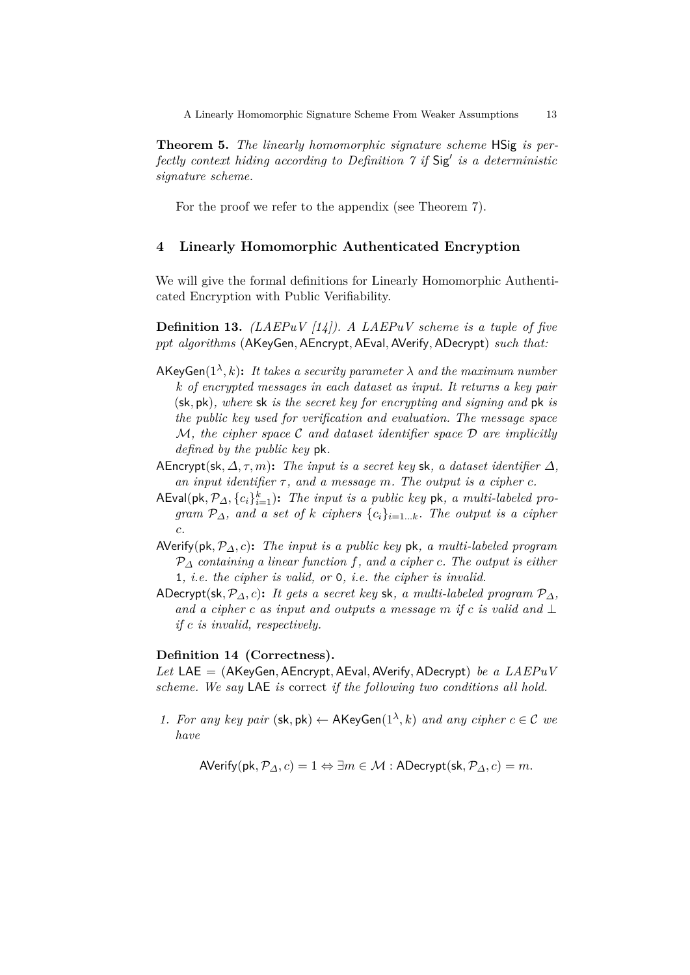**Theorem 5.** *The linearly homomorphic signature scheme* HSig *is perfectly context hiding according to Definition*  $\gamma$  *if* Sig<sup>'</sup> *is a deterministic signature scheme.*

For the proof we refer to the appendix (see Theorem 7).

# **4 Linearly Homomorphic Authenticated Encryption**

We will give the formal definitions for Linearly Homomorphic Authenticated Encryption with Public Verifiability.

**Definition 13.** *(LAEPuV [14]). A LAEPuV scheme is a tuple of five ppt algorithms* (AKeyGen*,* AEncrypt*,* AEval*,* AVerify*,* ADecrypt) *such that:*

- $\mathsf{AKeyGen}(1^\lambda, k)$ : It takes a security parameter  $\lambda$  and the maximum number *k of encrypted messages in each dataset as input. It returns a key pair* (sk*,* pk)*, where* sk *is the secret key for encrypting and signing and* pk *is the public key used for verification and evaluation. The message space* M*, the cipher space* C *and dataset identifier space* D *are implicitly defined by the public key* pk*.*
- AEncrypt(sk,  $\Delta$ ,  $\tau$ ,  $m$ ): *The input is a secret key* sk, a *dataset identifier*  $\Delta$ , *an input identifier*  $\tau$ *, and a message m. The output is a cipher c.*
- $\mathsf{AEval}(\mathsf{pk}, \mathcal{P}_{\Delta}, \{c_i\}_{i=1}^k)$ : The input is a public key  $\mathsf{pk}, a$  multi-labeled pro*gram*  $\mathcal{P}_{\Delta}$ *, and a set of k ciphers*  $\{c_i\}_{i=1...k}$ *. The output is a cipher c.*
- AVerify(pk*,*P*∆, c*)**:** *The input is a public key* pk*, a multi-labeled program* P*<sup>∆</sup> containing a linear function f, and a cipher c. The output is either* 1*, i.e. the cipher is valid, or* 0*, i.e. the cipher is invalid.*
- ADecrypt(sk*,*P*∆, c*)**:** *It gets a secret key* sk*, a multi-labeled program* P*∆, and a cipher c as input and outputs a message m if c is valid and*  $\perp$ *if c is invalid, respectively.*

#### **Definition 14 (Correctness).**

*Let* LAE = (AKeyGen*,* AEncrypt*,* AEval*,* AVerify*,* ADecrypt) *be a LAEPuV scheme. We say* LAE *is* correct *if the following two conditions all hold.*

*1. For any key pair*  $(\mathsf{sk}, \mathsf{pk}) \leftarrow \mathsf{AKeyGen}(1^\lambda, k)$  *and any cipher*  $c \in \mathcal{C}$  *we have*

AVerify(pk,  $\mathcal{P}_{\Delta}$ , *c*) = 1  $\Leftrightarrow \exists m \in \mathcal{M} : \text{ADecrypt}(\textsf{sk}, \mathcal{P}_{\Delta}, c) = m.$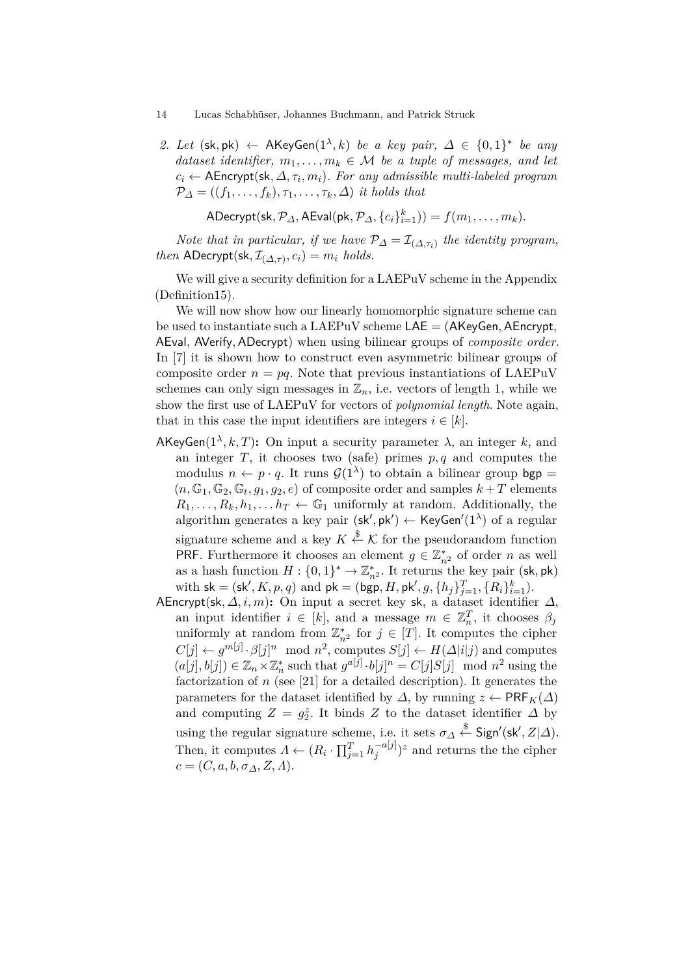- 14 Lucas Schabhüser, Johannes Buchmann, and Patrick Struck
- *2. Let*  $(\mathsf{sk}, \mathsf{pk})$  ← AKeyGen $(1^{\lambda}, k)$  *be a key pair*,  $\Delta \in \{0, 1\}^*$  *be any dataset identifier,*  $m_1, \ldots, m_k \in \mathcal{M}$  *be a tuple of messages, and let*  $c_i \leftarrow$  AEncrypt(sk,  $\Delta, \tau_i, m_i$ )*. For any admissible multi-labeled program*  $\mathcal{P}_{\Delta} = ((f_1, \ldots, f_k), \tau_1, \ldots, \tau_k, \Delta)$  *it holds that*

 $\mathsf{ADecrypt}(\mathsf{sk}, \mathcal{P}_\mathit{\Delta}, \mathsf{AEval}(\mathsf{pk}, \mathcal{P}_\mathit{\Delta}, \{c_i\}_{i=1}^k)) = f(m_1, \ldots, m_k).$ 

*Note that in particular, if we have*  $\mathcal{P}_{\Delta} = \mathcal{I}_{(\Delta, \tau_i)}$  *the identity program, then*  $\text{ADecrypt}(\textsf{sk}, \mathcal{I}_{(\Delta,\tau)}, c_i) = m_i \text{ holds.}$ 

We will give a security definition for a LAEPuV scheme in the Appendix (Definition15).

We will now show how our linearly homomorphic signature scheme can be used to instantiate such a LAEPuV scheme LAE = (AKeyGen*,* AEncrypt*,* AEval*,* AVerify*,* ADecrypt) when using bilinear groups of *composite order*. In [7] it is shown how to construct even asymmetric bilinear groups of composite order  $n = pq$ . Note that previous instantiations of LAEPuV schemes can only sign messages in  $\mathbb{Z}_n$ , i.e. vectors of length 1, while we show the first use of LAEPuV for vectors of *polynomial length*. Note again, that in this case the input identifiers are integers  $i \in [k]$ .

- AKeyGen( $1^{\lambda}$ , k, T): On input a security parameter  $\lambda$ , an integer k, and an integer  $T$ , it chooses two (safe) primes  $p, q$  and computes the modulus  $n \leftarrow p \cdot q$ . It runs  $\mathcal{G}(1^{\lambda})$  to obtain a bilinear group bgp =  $(n, \mathbb{G}_1, \mathbb{G}_2, \mathbb{G}_t, g_1, g_2, e)$  of composite order and samples  $k + T$  elements  $R_1, \ldots, R_k, h_1, \ldots h_T \leftarrow \mathbb{G}_1$  uniformly at random. Additionally, the algorithm generates a key pair  $(\mathsf{sk}', \mathsf{pk}') \leftarrow \mathsf{KeyGen}'(1^{\lambda})$  of a regular signature scheme and a key  $K \stackrel{\$}{\leftarrow} \mathcal{K}$  for the pseudorandom function **PRF.** Furthermore it chooses an element  $g \in \mathbb{Z}_{n^2}^*$  of order *n* as well as a hash function  $H: \{0,1\}^* \to \mathbb{Z}_{n^2}^*$ . It returns the key pair (sk, pk) with  $sk = (sk', K, p, q)$  and  $pk = (bgp, H, pk', g, \{h_j\}_{j=1}^T, \{R_i\}_{i=1}^k)$ .
- AEncrypt(sk*, ∆, i, m*)**:** On input a secret key sk, a dataset identifier *∆*, an input identifier  $i \in [k]$ , and a message  $m \in \mathbb{Z}_n^T$ , it chooses  $\beta_j$ uniformly at random from  $\mathbb{Z}_{n^2}^*$  for  $j \in [T]$ . It computes the cipher  $C[j] \leftarrow g^{m[j]} \cdot \beta[j]^n \mod n^2$ , computes  $S[j] \leftarrow H(\Delta[i]j)$  and computes  $(a[j], b[j]) \in \mathbb{Z}_n \times \mathbb{Z}_n^*$  such that  $g^{a[j]} \cdot b[j]^n = C[j]S[j] \mod n^2$  using the factorization of *n* (see [21] for a detailed description). It generates the parameters for the dataset identified by  $\Delta$ , by running  $z \leftarrow \text{PRF}_K(\Delta)$ and computing  $Z = g_2^z$ . It binds  $Z$  to the dataset identifier  $\Delta$  by using the regular signature scheme, i.e. it sets  $\sigma_{\Delta} \stackrel{\$}{\leftarrow}$  Sign'(sk', Z| $\Delta$ ). Then, it computes  $\Lambda \leftarrow (R_i \cdot \prod_{j=1}^T h_j^{-a[j]}$  $\int_{j}^{-a[j]}$ <sup>2</sup> and returns the the cipher  $c = (C, a, b, \sigma_\Delta, Z, \Lambda).$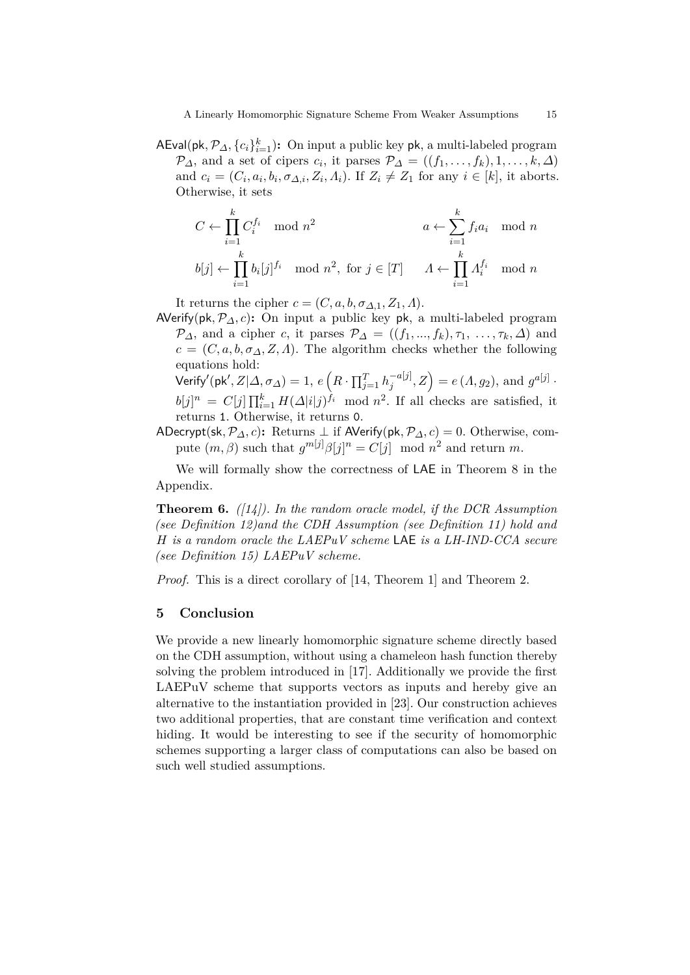$\mathsf{AEval}(\mathsf{pk}, \mathcal{P}_\Delta, \{c_i\}_{i=1}^k)$ : On input a public key  $\mathsf{pk}, \text{a multi-labeled program}$  $\mathcal{P}_{\Delta}$ , and a set of cipers  $c_i$ , it parses  $\mathcal{P}_{\Delta} = ((f_1, \ldots, f_k), 1, \ldots, k, \Delta)$ and  $c_i = (C_i, a_i, b_i, \sigma_{\Delta,i}, Z_i, \Lambda_i)$ . If  $Z_i \neq Z_1$  for any  $i \in [k]$ , it aborts. Otherwise, it sets

$$
C \leftarrow \prod_{i=1}^{k} C_i^{f_i} \mod n^2 \qquad a \leftarrow \sum_{i=1}^{k} f_i a_i \mod n
$$
  

$$
b[j] \leftarrow \prod_{i=1}^{k} b_i [j]^{f_i} \mod n^2, \text{ for } j \in [T] \qquad A \leftarrow \prod_{i=1}^{k} A_i^{f_i} \mod n
$$

It returns the cipher  $c = (C, a, b, \sigma_{\Delta,1}, Z_1, \Lambda)$ .

AVerify(pk*,*P*∆, c*)**:** On input a public key pk, a multi-labeled program  $\mathcal{P}_{\Delta}$ , and a cipher *c*, it parses  $\mathcal{P}_{\Delta} = ((f_1, ..., f_k), \tau_1, ..., \tau_k, \Delta)$  and  $c = (C, a, b, \sigma_A, Z, \Lambda)$ . The algorithm checks whether the following equations hold:

 $\mathsf{Verify}'(\mathsf{pk}', Z | \Delta, \sigma_\Delta) = 1, \, e\left(R \cdot \prod_{j=1}^T h_j^{-a[j]}\right)$  $g_j^{-a[j]}, Z$  = *e* (*Λ, g*<sub>2</sub>), and  $g^{a[j]}$ .  $b[j]$ <sup>*n*</sup> =  $C[j]$   $\prod_{i=1}^{k}$  *H*( $\Delta[i|j)$ <sup>*f<sub>i</sub>*</sup> mod *n*<sup>2</sup>. If all checks are satisfied, it returns 1. Otherwise, it returns 0.

ADecrypt(sk,  $\mathcal{P}_{\Delta}$ *, c*): Returns ⊥ if AVerify(pk,  $\mathcal{P}_{\Delta}$ *, c*) = 0. Otherwise, compute  $(m, \beta)$  such that  $g^{m[j]} \beta[j]^n = C[j] \mod n^2$  and return *m*.

We will formally show the correctness of LAE in Theorem 8 in the Appendix.

**Theorem 6.** *([14]). In the random oracle model, if the DCR Assumption (see Definition 12)and the CDH Assumption (see Definition 11) hold and H is a random oracle the LAEPuV scheme* LAE *is a LH-IND-CCA secure (see Definition 15) LAEPuV scheme.*

*Proof.* This is a direct corollary of [14, Theorem 1] and Theorem 2.

## **5 Conclusion**

We provide a new linearly homomorphic signature scheme directly based on the CDH assumption, without using a chameleon hash function thereby solving the problem introduced in [17]. Additionally we provide the first LAEPuV scheme that supports vectors as inputs and hereby give an alternative to the instantiation provided in [23]. Our construction achieves two additional properties, that are constant time verification and context hiding. It would be interesting to see if the security of homomorphic schemes supporting a larger class of computations can also be based on such well studied assumptions.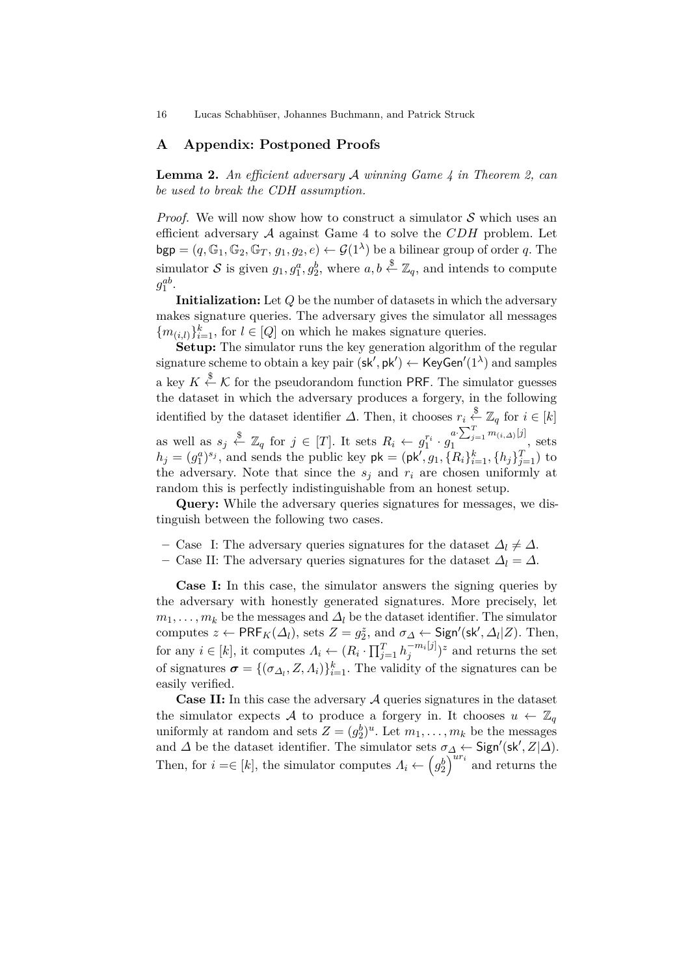## **A Appendix: Postponed Proofs**

**Lemma 2.** *An efficient adversary* A *winning Game 4 in Theorem 2, can be used to break the CDH assumption.*

*Proof.* We will now show how to construct a simulator  $S$  which uses an efficient adversary A against Game 4 to solve the *CDH* problem. Let  $\mathsf{bgp} = (q, \mathbb{G}_1, \mathbb{G}_2, \mathbb{G}_T, g_1, g_2, e) \leftarrow \mathcal{G}(1^{\lambda})$  be a bilinear group of order q. The simulator S is given  $g_1, g_1^a, g_2^b$ , where  $a, b \stackrel{\$}{\leftarrow} \mathbb{Z}_q$ , and intends to compute  $g_1^{ab}$ .

**Initialization:** Let *Q* be the number of datasets in which the adversary makes signature queries. The adversary gives the simulator all messages  ${m_{(i,l)}}_{i=1}^k$ , for  $l \in [Q]$  on which he makes signature queries.

**Setup:** The simulator runs the key generation algorithm of the regular signature scheme to obtain a key pair  $(\mathsf{sk}', \mathsf{pk}') \leftarrow \mathsf{KeyGen}'(1^{\lambda})$  and samples a key  $K \stackrel{\$}{\leftarrow} \mathcal{K}$  for the pseudorandom function PRF. The simulator guesses the dataset in which the adversary produces a forgery, in the following identified by the dataset identifier  $\Delta$ . Then, it chooses  $r_i \stackrel{\$}{\leftarrow} \mathbb{Z}_q$  for  $i \in [k]$ as well as  $s_j \stackrel{\$}{\leftarrow} \mathbb{Z}_q$  for  $j \in [T]$ . It sets  $R_i \leftarrow g_1^{r_i} \cdot g_1^a \sum_{j=1}^T m_{(i,\Delta)}[j]$  $\sum_{j=1}^{\infty} \frac{\sum_{j=1}^{\infty} \cdots (i,\Delta)^{|\mathcal{Y}|}}{n}$ , sets  $h_j = (g_1^a)^{s_j}$ , and sends the public key  $pk = (pk', g_1, \{R_i\}_{i=1}^k, \{h_j\}_{j=1}^T)$  to the adversary. Note that since the  $s_i$  and  $r_i$  are chosen uniformly at random this is perfectly indistinguishable from an honest setup.

**Query:** While the adversary queries signatures for messages, we distinguish between the following two cases.

- $-$  Case I: The adversary queries signatures for the dataset  $\Delta$ <sup>*l*</sup> ≠  $\Delta$ .
- **–** Case II: The adversary queries signatures for the dataset *∆<sup>l</sup>* = *∆*.

**Case I:** In this case, the simulator answers the signing queries by the adversary with honestly generated signatures. More precisely, let  $m_1, \ldots, m_k$  be the messages and  $\Delta_l$  be the dataset identifier. The simulator computes  $z \leftarrow \text{PRF}_K(\Delta_l)$ , sets  $Z = g_2^z$ , and  $\sigma_{\Delta} \leftarrow \text{Sign}'(\textsf{sk}', \Delta_l | Z)$ . Then, for any  $i \in [k]$ , it computes  $\Lambda_i \leftarrow (R_i \cdot \prod_{j=1}^T h_j^{-m_i[j]}$  $\binom{-m_i|j|}{j}^z$  and returns the set of signatures  $\boldsymbol{\sigma} = \{(\sigma_{\Delta_l}, Z, \Lambda_i)\}_{i=1}^k$ . The validity of the signatures can be easily verified.

**Case II:** In this case the adversary A queries signatures in the dataset the simulator expects A to produce a forgery in. It chooses  $u \leftarrow \mathbb{Z}_q$ uniformly at random and sets  $Z = (g_2^b)^u$ . Let  $m_1, \ldots, m_k$  be the messages and  $\Delta$  be the dataset identifier. The simulator sets  $\sigma_{\Delta} \leftarrow$  Sign'(sk', Z| $\Delta$ ). Then, for  $i = \in [k]$ , the simulator computes  $\Lambda_i \leftarrow (g_2^b)^{ur_i}$  and returns the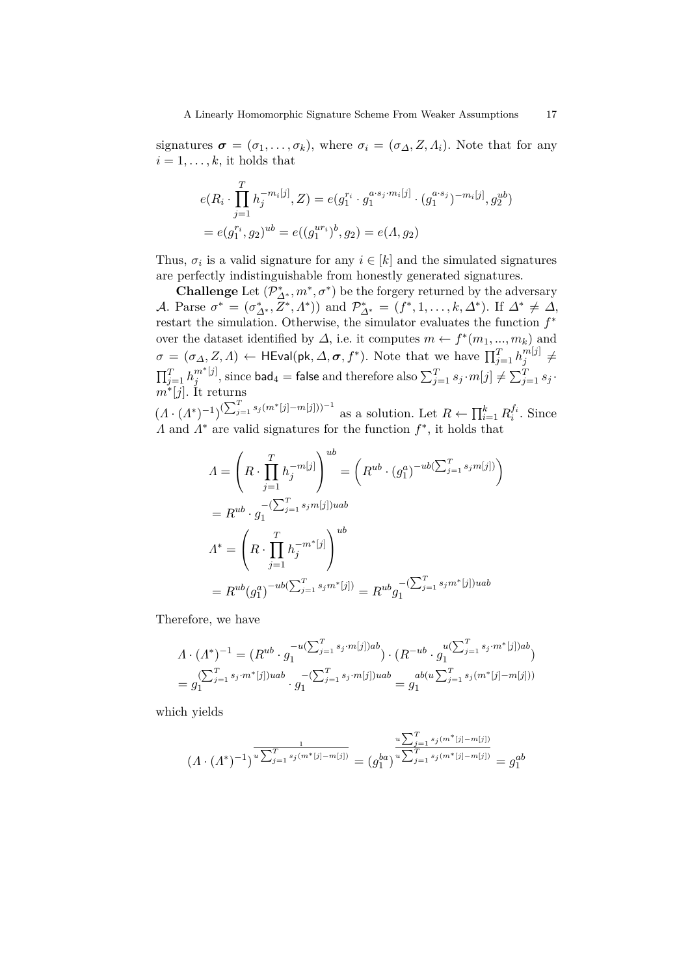signatures  $\sigma = (\sigma_1, \ldots, \sigma_k)$ , where  $\sigma_i = (\sigma_\Delta, Z, \Lambda_i)$ . Note that for any  $i = 1, \ldots, k$ , it holds that

$$
e(R_i \cdot \prod_{j=1}^T h_j^{-m_i[j]}, Z) = e(g_1^{r_i} \cdot g_1^{a \cdot s_j \cdot m_i[j]} \cdot (g_1^{a \cdot s_j})^{-m_i[j]}, g_2^{ub})
$$
  
=  $e(g_1^{r_i}, g_2)^{ub} = e((g_1^{ur_i})^b, g_2) = e(\Lambda, g_2)$ 

Thus,  $\sigma_i$  is a valid signature for any  $i \in [k]$  and the simulated signatures are perfectly indistinguishable from honestly generated signatures.

**Challenge** Let  $(\mathcal{P}_{\Delta^*}^*, m^*, \sigma^*)$  be the forgery returned by the adversary *A*. Parse  $\sigma^* = (\sigma^*_{\Delta^*}, Z^*, \Lambda^*)$  and  $\mathcal{P}^*_{\Delta^*} = (f^*, 1, \ldots, k, \Delta^*)$ . If  $\Delta^* \neq \Delta$ , restart the simulation. Otherwise, the simulator evaluates the function *f* ∗ over the dataset identified by  $\Delta$ , i.e. it computes  $m \leftarrow f^*(m_1, ..., m_k)$  and  $\sigma = (\sigma_{\Delta}, Z, \Lambda) \leftarrow \mathsf{HEval}(\mathsf{pk}, \Delta, \pmb{\sigma}, f^*)$ . Note that we have  $\prod_{j=1}^T h_j^{m[j]}$  $\frac{m[j]}{j} \neq$  $\prod_{j=1}^{T} h_j^{m^*[j]}$  $\sum_{j=1}^{m^*}|j|$ , since bad $_4=$  false and therefore also  $\sum_{j=1}^{T}s_j \cdot m[j] \neq \sum_{j=1}^{T}s_j \cdot n[j]$ *m*<sup>∗</sup> [*j*]. It returns

 $(A \cdot (A^*)^{-1})^{(\sum_{j=1}^T s_j(m^*[j]-m[j]))^{-1}}$  as a solution. Let  $R \leftarrow \prod_{i=1}^k R_i^{f_i}$ . Since *Λ* and *Λ* <sup>∗</sup> are valid signatures for the function *f* ∗ , it holds that

$$
A = \left(R \cdot \prod_{j=1}^{T} h_j^{-m[j]}\right)^{ub} = \left(R^{ub} \cdot (g_1^a)^{-ub(\sum_{j=1}^{T} s_j m[j])}\right)
$$
  
=  $R^{ub} \cdot g_1^{-\left(\sum_{j=1}^{T} s_j m[j]\right)u b}$   

$$
A^* = \left(R \cdot \prod_{j=1}^{T} h_j^{-m^*[j]}\right)^{ub}
$$
  
=  $R^{ub}(g_1^a)^{-ub(\sum_{j=1}^{T} s_j m^*[j])} = R^{ub} g_1^{-\left(\sum_{j=1}^{T} s_j m^*[j]\right)u ab}$ 

Therefore, we have

$$
A \cdot (A^*)^{-1} = (R^{ub} \cdot g_1^{-u(\sum_{j=1}^T s_j \cdot m[j])ab}) \cdot (R^{-ub} \cdot g_1^{u(\sum_{j=1}^T s_j \cdot m^*[j])ab})
$$
  
=  $g_1^{(\sum_{j=1}^T s_j \cdot m^*[j])uab} \cdot g_1^{-(\sum_{j=1}^T s_j \cdot m[j])uab} = g_1^{ab(u\sum_{j=1}^T s_j(m^*[j]-m[j]))}$ 

which yields

$$
(A \cdot (A^*)^{-1})^{\frac{1}{u \sum_{j=1}^T s_j(m^*[j]-m[j])}} = (g_1^{ba})^{\frac{u \sum_{j=1}^T s_j(m^*[j]-m[j])}{u \sum_{j=1}^T s_j(m^*[j]-m[j])}} = g_1^{ab}
$$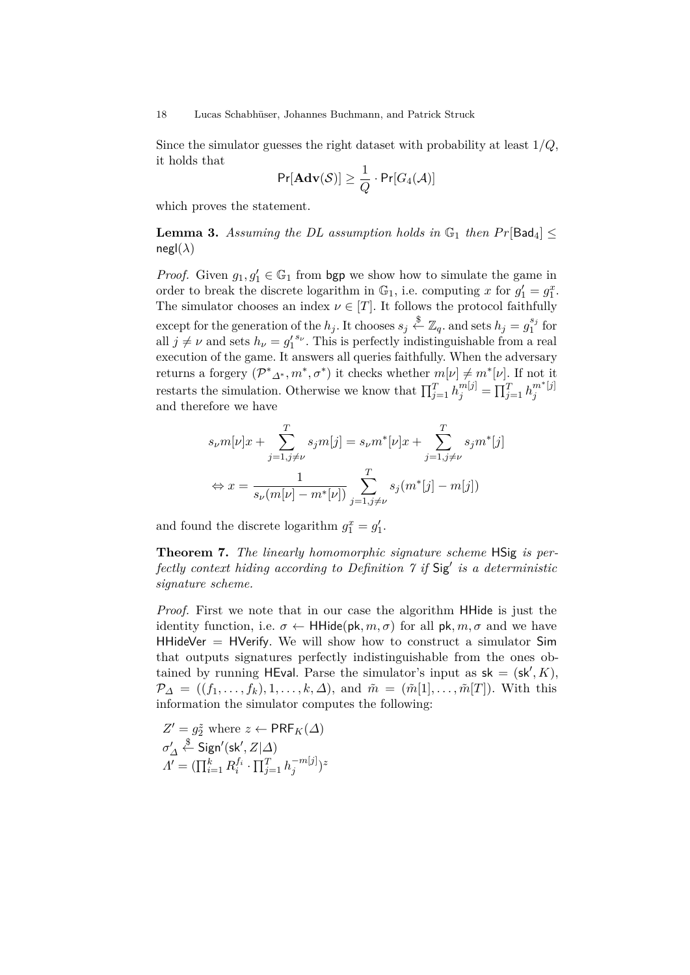Since the simulator guesses the right dataset with probability at least 1*/Q*, it holds that

$$
\Pr[\mathbf{Adv}(\mathcal{S})] \geq \frac{1}{Q} \cdot \Pr[G_4(\mathcal{A})]
$$

which proves the statement.

**Lemma 3.** Assuming the DL assumption holds in  $\mathbb{G}_1$  then  $Pr[\mathsf{Bad}_4] \leq$ negl(*λ*)

*Proof.* Given  $g_1, g'_1 \in \mathbb{G}_1$  from **bgp** we show how to simulate the game in order to break the discrete logarithm in  $\mathbb{G}_1$ , i.e. computing *x* for  $g'_1 = g_1^x$ . The simulator chooses an index  $\nu \in [T]$ . It follows the protocol faithfully except for the generation of the  $h_j$ . It chooses  $s_j \stackrel{\$}{\leftarrow} \mathbb{Z}_q$ , and sets  $h_j = g_1^{s_j}$  $\int_1^{s_j}$  for all  $j \neq \nu$  and sets  $h_{\nu} = g_1'^{s_{\nu}}$ . This is perfectly indistinguishable from a real execution of the game. It answers all queries faithfully. When the adversary returns a forgery  $(\mathcal{P}^*_{\Delta^*}, m^*, \sigma^*)$  it checks whether  $m[\nu] \neq m^*[\nu]$ . If not it restarts the simulation. Otherwise we know that  $\prod_{j=1}^{T} h_j^{m[j]} = \prod_{j=1}^{T} h_j^{m^*[j]}$ *j* and therefore we have

$$
s_{\nu}m[\nu]x + \sum_{j=1, j\neq \nu}^{T} s_jm[j] = s_{\nu}m^*[\nu]x + \sum_{j=1, j\neq \nu}^{T} s_jm^*[j]
$$
  

$$
\Leftrightarrow x = \frac{1}{s_{\nu}(m[\nu] - m^*[\nu])} \sum_{j=1, j\neq \nu}^{T} s_j(m^*[j] - m[j])
$$

and found the discrete logarithm  $g_1^x = g_1'$ .

**Theorem 7.** *The linearly homomorphic signature scheme* HSig *is perfectly context hiding according to Definition*  $\gamma$  *if* Sig<sup>'</sup> *is a deterministic signature scheme.*

*Proof.* First we note that in our case the algorithm HHide is just the identity function, i.e.  $\sigma \leftarrow \text{HHide}(\text{pk}, m, \sigma)$  for all  $\text{pk}, m, \sigma$  and we have  $HHideVer = HVerify.$  We will show how to construct a simulator Sim that outputs signatures perfectly indistinguishable from the ones obtained by running HEval. Parse the simulator's input as  $sk = (sk', K)$ ,  $\mathcal{P}_{\Delta} = ((f_1, \ldots, f_k), 1, \ldots, k, \Delta)$ , and  $\tilde{m} = (\tilde{m}[1], \ldots, \tilde{m}[T])$ . With this information the simulator computes the following:

 $Z' = g_2^z$  where  $z \leftarrow \mathsf{PRF}_K(\Delta)$  $\sigma'_{\mathit{\Delta}} \overset{\$}{\leftarrow}$  Sign'(sk', *Z\* $\Delta$ )  $\varLambda' = (\prod_{i=1}^k R_i^{f_i} \cdot \prod_{j=1}^T h_j^{-m[j]}$  $\binom{-m|j|}{j}$ <sup>2</sup>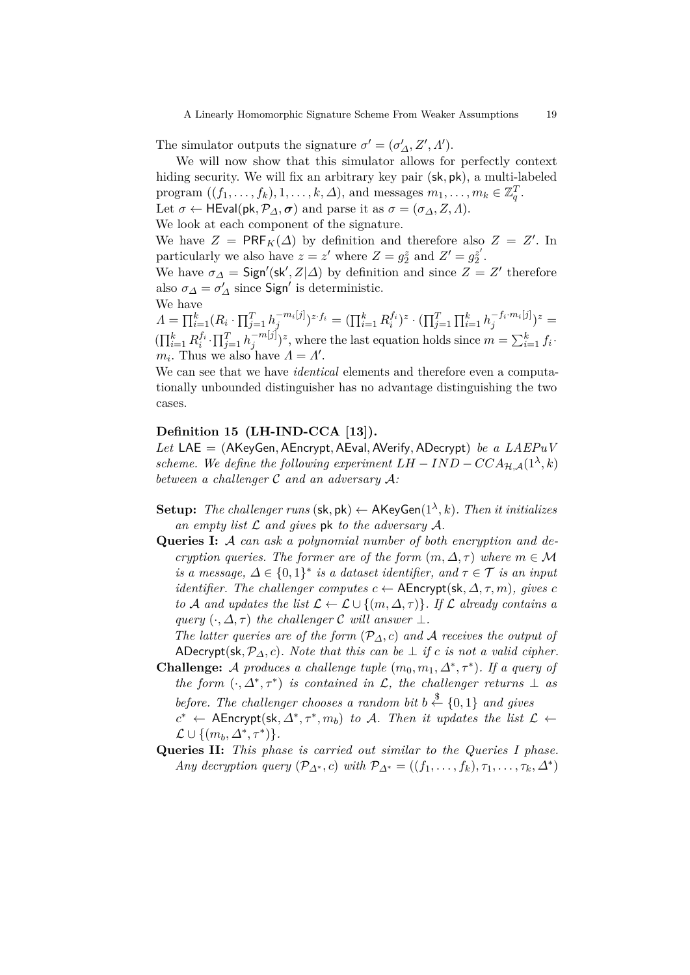The simulator outputs the signature  $\sigma' = (\sigma'_{\Delta}, Z', \Lambda')$ .

We will now show that this simulator allows for perfectly context hiding security. We will fix an arbitrary key pair (sk*,* pk), a multi-labeled program  $((f_1, \ldots, f_k), 1, \ldots, k, \Delta)$ , and messages  $m_1, \ldots, m_k \in \mathbb{Z}_q^T$ . Let  $\sigma \leftarrow \text{HEval}(\text{pk}, \mathcal{P}_\Delta, \sigma)$  and parse it as  $\sigma = (\sigma_\Delta, Z, \Lambda)$ . We look at each component of the signature. We have  $Z = \text{PRF}_K(\Delta)$  by definition and therefore also  $Z = Z'$ . In particularly we also have  $z = z'$  where  $Z = g_2^z$  and  $Z' = g_2^{z'}$  $\tilde{z}^{'}$  .

We have  $\sigma_{\Delta} = \text{Sign}'(\text{sk}', Z | \Delta)$  by definition and since  $Z = Z'$  therefore also  $\sigma_{\Delta} = \sigma'_{\Delta}$  since  $\text{Sign}'$  is deterministic. We have

 $\varLambda = \prod_{i=1}^{k} (R_i \cdot \prod_{j=1}^{T} h_j^{-m_i[j]}$  $\int_{j}^{-m_i[j]}$ ) $z \cdot f_i = (\prod_{i=1}^{k} R_i^{f_i})^z \cdot (\prod_{j=1}^{T} \prod_{i=1}^{k} h_j^{-f_i \cdot m_i[j]}$  $\binom{-f_i\cdot m_i\left[ j\right]}{j}^z=$  $(\prod_{i=1}^{k} R_i^{f_i} \cdot \prod_{j=1}^{T} h_j^{-m[j]}$  $\int_{j}^{-m|j|}$ , where the last equation holds since  $m = \sum_{i=1}^{k} f_i$ . *m<sub>i</sub>*. Thus we also have  $\Lambda = \Lambda'$ .

We can see that we have *identical* elements and therefore even a computationally unbounded distinguisher has no advantage distinguishing the two cases.

#### **Definition 15 (LH-IND-CCA [13]).**

*Let* LAE = (AKeyGen*,* AEncrypt*,* AEval*,* AVerify*,* ADecrypt) *be a LAEPuV scheme. We define the following experiment*  $LH - IND - CCA_{H,A}(1^{\lambda}, k)$ *between a challenger* C *and an adversary* A*:*

- **Setup:** The challenger runs  $(\mathsf{sk}, \mathsf{pk}) \leftarrow \mathsf{AKeyGen}(1^\lambda, k)$ . Then it initializes *an empty list* L *and gives* pk *to the adversary* A*.*
- **Queries I:** A *can ask a polynomial number of both encryption and decryption queries. The former are of the form*  $(m, \Delta, \tau)$  *where*  $m \in \mathcal{M}$ *is a message,*  $\Delta \in \{0,1\}^*$  *is a dataset identifier, and*  $\tau \in \mathcal{T}$  *is an input identifier. The challenger computes*  $c \leftarrow$  AEncrypt(sk,  $\Delta$ ,  $\tau$ ,  $m$ ), gives c *to* A and updates the list  $\mathcal{L} \leftarrow \mathcal{L} \cup \{(m, \Delta, \tau)\}\$ . If  $\mathcal{L}$  already contains a *query*  $(\cdot, \Delta, \tau)$  *the challenger* C *will answer*  $\bot$ *.*

*The latter queries are of the form* (P*∆, c*) *and* A *receives the output of* ADecrypt(sk,  $\mathcal{P}_{\Delta}$ *, c*)*.* Note that this can be  $\bot$  *if c is not a valid cipher.* 

- **Challenge:** A produces a challenge tuple  $(m_0, m_1, \Delta^*, \tau^*)$ . If a query of *the form*  $(\cdot, \Delta^*, \tau^*)$  *is contained in*  $\mathcal{L}$ *, the challenger returns*  $\perp$  *as before. The challenger chooses a random bit*  $b \stackrel{\$}{\leftarrow} \{0,1\}$  *and gives*  $c^*$  ← AEncrypt(sk,  $\Delta^*, \tau^*, m_b$ ) *to* A*.* Then it updates the list  $\mathcal{L}$  ←  $\mathcal{L} \cup \{(m_b, \Delta^*, \tau^*)\}.$
- **Queries II:** *This phase is carried out similar to the Queries I phase. Any decryption query*  $(\mathcal{P}_{\Delta^*}, c)$  *with*  $\mathcal{P}_{\Delta^*} = ((f_1, \ldots, f_k), \tau_1, \ldots, \tau_k, \Delta^*)$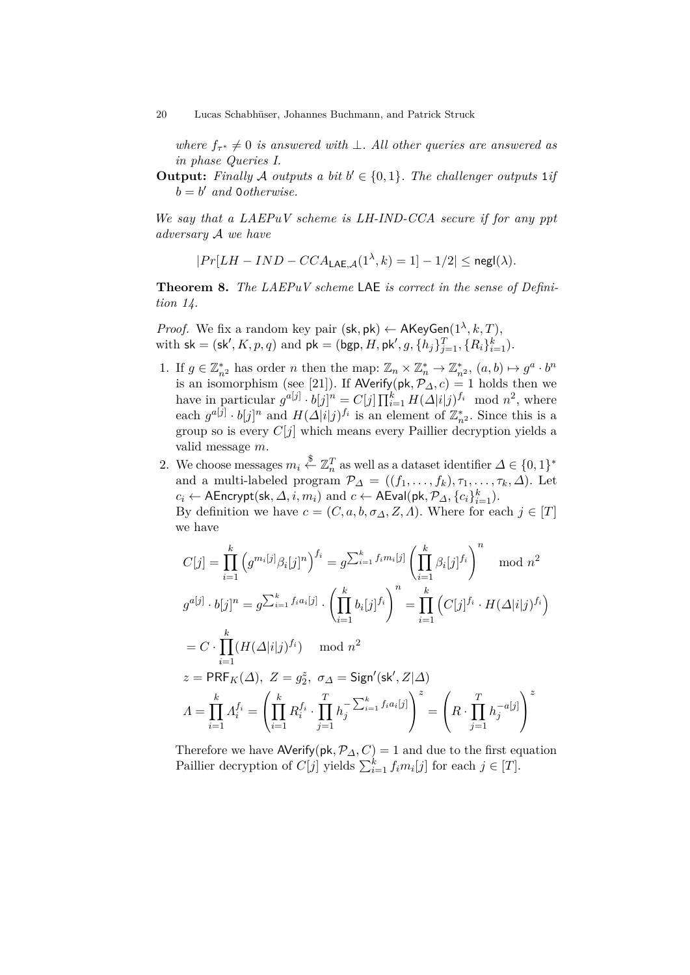*where*  $f_{\tau^*} \neq 0$  *is answered with*  $\bot$ *. All other queries are answered as in phase Queries I.*

**Output:** *Finally*  $\mathcal A$  *outputs*  $a$  *bit*  $b' \in \{0,1\}$ *. The challenger outputs*  $1$ *if*  $b = b'$  *and* 0*otherwise.* 

*We say that a LAEPuV scheme is LH-IND-CCA secure if for any ppt adversary* A *we have*

$$
|Pr[LH - IND - CCA_{\mathsf{LAE},\mathcal{A}}(1^{\lambda},k) = 1] - 1/2| \leq \mathsf{negl}(\lambda).
$$

**Theorem 8.** *The LAEPuV scheme* LAE *is correct in the sense of Definition 14.*

*Proof.* We fix a random key pair  $(\mathsf{sk}, \mathsf{pk}) \leftarrow \mathsf{AKeyGen}(1^\lambda, k, T)$ , with  $sk = (sk', K, p, q)$  and  $pk = (bgp, H, pk', g, \{h_j\}_{j=1}^T, \{R_i\}_{i=1}^k)$ .

- 1. If  $g \in \mathbb{Z}_{n^2}^*$  has order *n* then the map:  $\mathbb{Z}_n \times \mathbb{Z}_n^* \to \mathbb{Z}_{n^2}^*$ ,  $(a, b) \mapsto g^a \cdot b^n$ is an isomorphism (see [21]). If AVerify( $\mathsf{pk}, \mathcal{P}_\Delta$ , *c*) = 1 holds then we have in particular  $g^{a[j]} \cdot b[j]^n = C[j] \prod_{i=1}^k H(\Delta[i]j)^{f_i} \mod n^2$ , where each  $g^{a[j]} \cdot b[j]^n$  and  $H(\Delta[i]j)^{f_i}$  is an element of  $\mathbb{Z}_{n^2}^*$ . Since this is a group so is every *C*[*j*] which means every Paillier decryption yields a valid message *m*.
- 2. We choose messages  $m_i \stackrel{\$}{\leftarrow} \mathbb{Z}_n^T$  as well as a dataset identifier  $\Delta \in \{0,1\}^*$ and a multi-labeled program  $\mathcal{P}_{\Delta} = ((f_1, \ldots, f_k), \tau_1, \ldots, \tau_k, \Delta)$ . Let *c*<sub>*i*</sub> ← AEncrypt(sk,  $\Delta$ , *i*,  $m_i$ ) and  $c$  ← AEval(pk,  $\mathcal{P}_{\Delta}$ ,  $\{c_i\}_{i=1}^k$ ). By definition we have  $c = (C, a, b, \sigma_{\Delta}, Z, \Lambda)$ . Where for each  $j \in [T]$ we have

$$
C[j] = \prod_{i=1}^{k} (g^{m_i[j]} \beta_i[j]^n)^{f_i} = g^{\sum_{i=1}^{k} f_i m_i[j]} \left( \prod_{i=1}^{k} \beta_i[j]^{f_i} \right)^n \mod n^2
$$
  

$$
g^{a[j]} \cdot b[j]^n = g^{\sum_{i=1}^{k} f_i a_i[j]} \cdot \left( \prod_{i=1}^{k} b_i[j]^{f_i} \right)^n = \prod_{i=1}^{k} (C[j]^{f_i} \cdot H(\Delta[i]j)^{f_i})
$$
  

$$
= C \cdot \prod_{i=1}^{k} (H(\Delta[i]j)^{f_i}) \mod n^2
$$
  

$$
z = \text{PRF}_K(\Delta), Z = g_2^z, \sigma_\Delta = \text{Sign}'(\text{sk}', Z | \Delta)
$$
  

$$
\Lambda = \prod_{i=1}^{k} \Lambda_i^{f_i} = \left( \prod_{i=1}^{k} R_i^{f_i} \cdot \prod_{j=1}^{T} h_j^{-\sum_{i=1}^{k} f_i a_i[j]} \right)^z = \left( R \cdot \prod_{j=1}^{T} h_j^{-a[j]} \right)^z
$$

Therefore we have  $\mathsf{AVerify}(\mathsf{pk}, \mathcal{P}_\Delta, C) = 1$  and due to the first equation Paillier decryption of  $C[j]$  yields  $\sum_{i=1}^{k} f_i m_i[j]$  for each  $j \in [T]$ .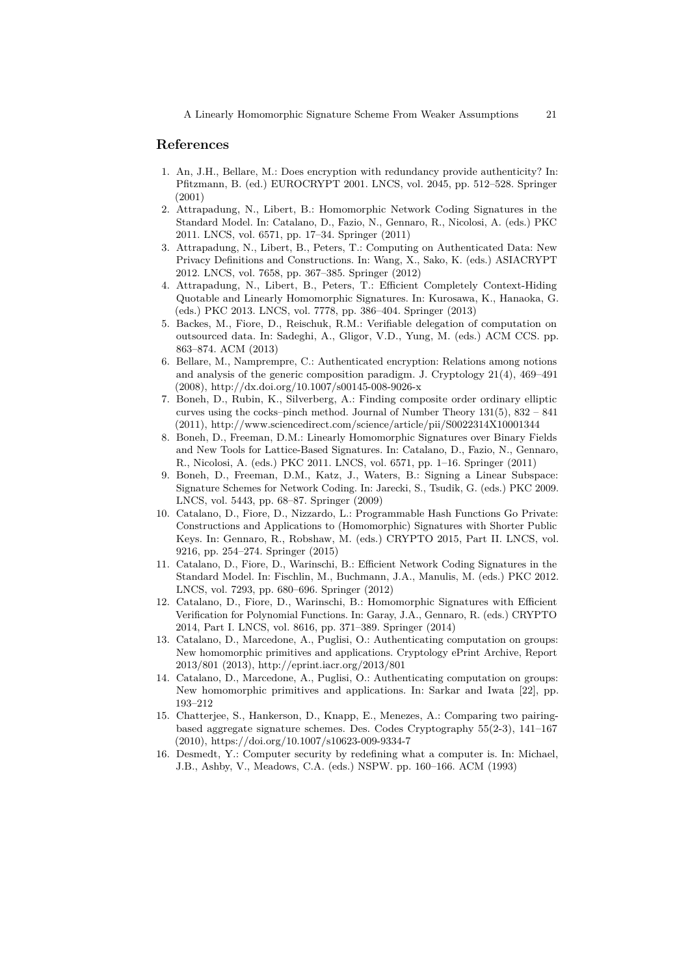### **References**

- 1. An, J.H., Bellare, M.: Does encryption with redundancy provide authenticity? In: Pfitzmann, B. (ed.) EUROCRYPT 2001. LNCS, vol. 2045, pp. 512–528. Springer (2001)
- 2. Attrapadung, N., Libert, B.: Homomorphic Network Coding Signatures in the Standard Model. In: Catalano, D., Fazio, N., Gennaro, R., Nicolosi, A. (eds.) PKC 2011. LNCS, vol. 6571, pp. 17–34. Springer (2011)
- 3. Attrapadung, N., Libert, B., Peters, T.: Computing on Authenticated Data: New Privacy Definitions and Constructions. In: Wang, X., Sako, K. (eds.) ASIACRYPT 2012. LNCS, vol. 7658, pp. 367–385. Springer (2012)
- 4. Attrapadung, N., Libert, B., Peters, T.: Efficient Completely Context-Hiding Quotable and Linearly Homomorphic Signatures. In: Kurosawa, K., Hanaoka, G. (eds.) PKC 2013. LNCS, vol. 7778, pp. 386–404. Springer (2013)
- 5. Backes, M., Fiore, D., Reischuk, R.M.: Verifiable delegation of computation on outsourced data. In: Sadeghi, A., Gligor, V.D., Yung, M. (eds.) ACM CCS. pp. 863–874. ACM (2013)
- 6. Bellare, M., Namprempre, C.: Authenticated encryption: Relations among notions and analysis of the generic composition paradigm. J. Cryptology 21(4), 469–491 (2008), http://dx.doi.org/10.1007/s00145-008-9026-x
- 7. Boneh, D., Rubin, K., Silverberg, A.: Finding composite order ordinary elliptic curves using the cocks–pinch method. Journal of Number Theory 131(5), 832 – 841 (2011), http://www.sciencedirect.com/science/article/pii/S0022314X10001344
- 8. Boneh, D., Freeman, D.M.: Linearly Homomorphic Signatures over Binary Fields and New Tools for Lattice-Based Signatures. In: Catalano, D., Fazio, N., Gennaro, R., Nicolosi, A. (eds.) PKC 2011. LNCS, vol. 6571, pp. 1–16. Springer (2011)
- 9. Boneh, D., Freeman, D.M., Katz, J., Waters, B.: Signing a Linear Subspace: Signature Schemes for Network Coding. In: Jarecki, S., Tsudik, G. (eds.) PKC 2009. LNCS, vol. 5443, pp. 68–87. Springer (2009)
- 10. Catalano, D., Fiore, D., Nizzardo, L.: Programmable Hash Functions Go Private: Constructions and Applications to (Homomorphic) Signatures with Shorter Public Keys. In: Gennaro, R., Robshaw, M. (eds.) CRYPTO 2015, Part II. LNCS, vol. 9216, pp. 254–274. Springer (2015)
- 11. Catalano, D., Fiore, D., Warinschi, B.: Efficient Network Coding Signatures in the Standard Model. In: Fischlin, M., Buchmann, J.A., Manulis, M. (eds.) PKC 2012. LNCS, vol. 7293, pp. 680–696. Springer (2012)
- 12. Catalano, D., Fiore, D., Warinschi, B.: Homomorphic Signatures with Efficient Verification for Polynomial Functions. In: Garay, J.A., Gennaro, R. (eds.) CRYPTO 2014, Part I. LNCS, vol. 8616, pp. 371–389. Springer (2014)
- 13. Catalano, D., Marcedone, A., Puglisi, O.: Authenticating computation on groups: New homomorphic primitives and applications. Cryptology ePrint Archive, Report 2013/801 (2013), http://eprint.iacr.org/2013/801
- 14. Catalano, D., Marcedone, A., Puglisi, O.: Authenticating computation on groups: New homomorphic primitives and applications. In: Sarkar and Iwata [22], pp. 193–212
- 15. Chatterjee, S., Hankerson, D., Knapp, E., Menezes, A.: Comparing two pairingbased aggregate signature schemes. Des. Codes Cryptography 55(2-3), 141–167 (2010), https://doi.org/10.1007/s10623-009-9334-7
- 16. Desmedt, Y.: Computer security by redefining what a computer is. In: Michael, J.B., Ashby, V., Meadows, C.A. (eds.) NSPW. pp. 160–166. ACM (1993)